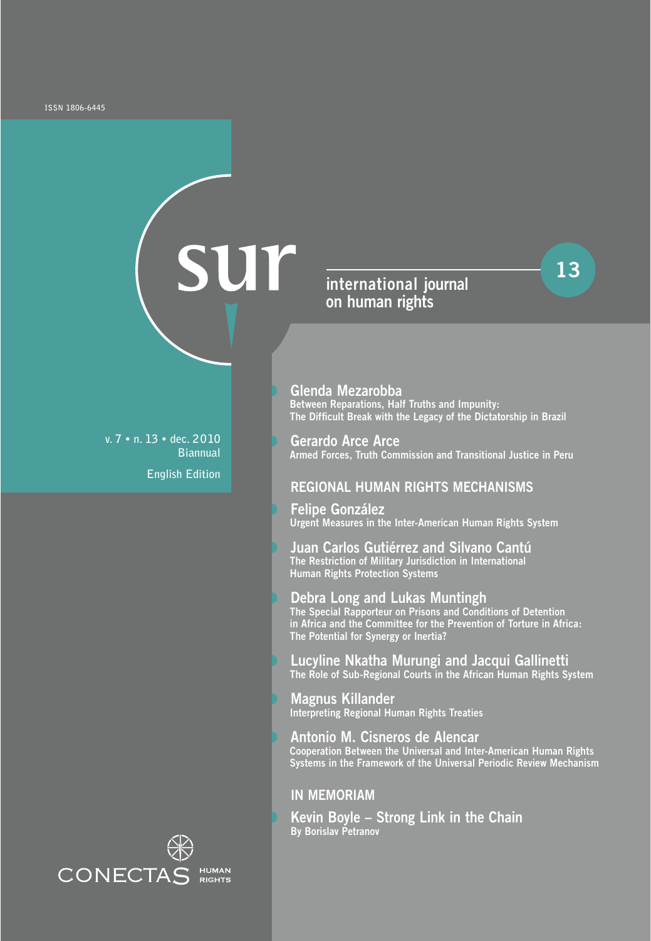# **13 international journal on human rights**

**Between Reparations, Half Truths and Impunity:** 

 **Glenda Mezarobba**

**v. 7 • n. 13 • dec. 2010 Biannual English Edition**

sur



**The Diffi cult Break with the Legacy of the Dictatorship in Brazil Gerardo Arce Arce**

 **Armed Forces, Truth Commission and Transitional Justice in Peru**

### **REGIONAL HUMAN RIGHTS MECHANISMS**

 **Felipe González Urgent Measures in the Inter-American Human Rights System**

 **Juan Carlos Gutiérrez and Silvano Cantú The Restriction of Military Jurisdiction in International Human Rights Protection Systems**

### **Debra Long and Lukas Muntingh**

 **The Special Rapporteur on Prisons and Conditions of Detention in Africa and the Committee for the Prevention of Torture in Africa: The Potential for Synergy or Inertia?**

 **Lucyline Nkatha Murungi and Jacqui Gallinetti The Role of Sub-Regional Courts in the African Human Rights System**

 **Magnus Killander Interpreting Regional Human Rights Treaties**

 **Antonio M. Cisneros de Alencar Cooperation Between the Universal and Inter-American Human Rights Systems in the Framework of the Universal Periodic Review Mechanism**

### **IN MEMORIAM**

 **Kevin Boyle – Strong Link in the Chain By Borislav Petranov**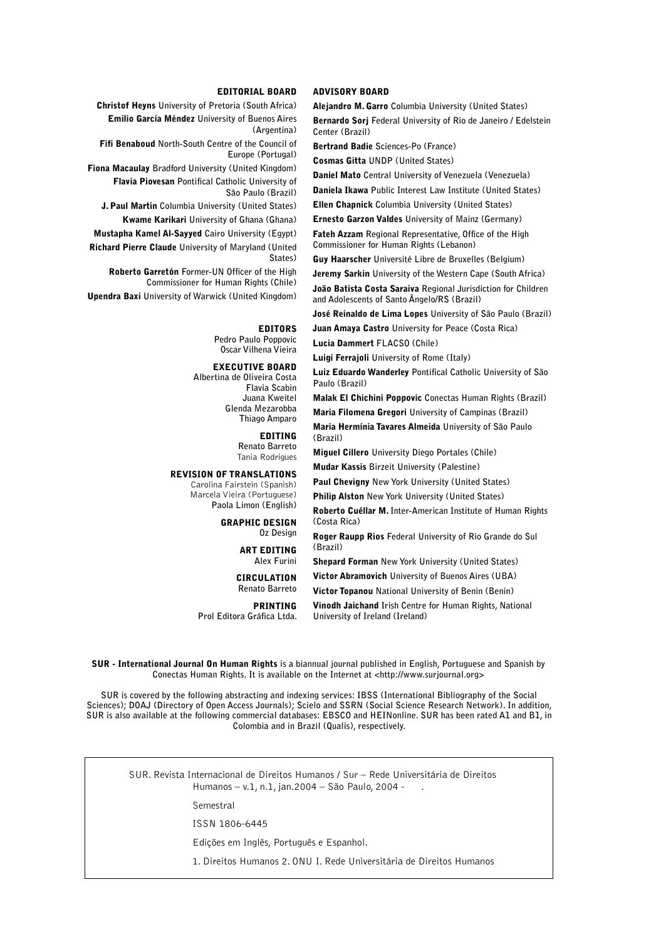#### **EDITORIAL BOARD**

**Christof Heyns University of Pretoria (South Africa) Emilio García Méndez University of Buenos Aires (Argentina) Fifi Benaboud North-South Centre of the Council of** 

**Europe (Portugal)**

**Fiona Macaulay Bradford University (United Kingdom) Flavia Piovesan Pontifical Catholic University of São Paulo (Brazil)**

**J. Paul Martin Columbia University (United States) Kwame Karikari University of Ghana (Ghana)**

**Mustapha Kamel Al-Sayyed Cairo University (Egypt) Richard Pierre Claude University of Maryland (United States)**

**Roberto Garretón Former-UN Officer of the High Commissioner for Human Rights (Chile) Upendra Baxi University of Warwick (United Kingdom)**

**EDITORS**

**Pedro Paulo Poppovic Oscar Vilhena Vieira**

**EXECUTIVE BOARD Albertina de Oliveira Costa Flavia Scabin Juana Kweitel Glenda Mezarobba**

> **EDITING Renato Barreto** Tania Rodrigues

**Thiago Amparo**

#### **REVISION OF TRANSLATIONS**

Carolina Fairstein (Spanish) Marcela Vieira (Portuguese) **Paola Limon (English)**

> **GRAPHIC DESIGN Oz Design**

> > **ART EDITING Alex Furini**

**CIRCULATION Renato Barreto**

**PRINTING Prol Editora Gráfica Ltda.**

#### **ADVISORY BOARD**

**Alejandro M. Garro Columbia University (United States)**

**Bernardo Sorj Federal University of Rio de Janeiro / Edelstein Center (Brazil)**

**Bertrand Badie Sciences-Po (France)**

**Cosmas Gitta UNDP (United States)**

**Daniel Mato Central University of Venezuela (Venezuela)**

**Daniela Ikawa Public Interest Law Institute (United States)**

**Ellen Chapnick Columbia University (United States)**

**Ernesto Garzon Valdes University of Mainz (Germany)**

**Fateh Azzam Regional Representative, Office of the High Commissioner for Human Rights (Lebanon)**

**Guy Haarscher Université Libre de Bruxelles (Belgium)**

**Jeremy Sarkin University of the Western Cape (South Africa) João Batista Costa Saraiva Regional Jurisdiction for Children and Adolescents of Santo Ângelo/RS (Brazil)**

**José Reinaldo de Lima Lopes University of São Paulo (Brazil)**

**Juan Amaya Castro University for Peace (Costa Rica)**

**Lucia Dammert FLACSO (Chile)**

**Luigi Ferrajoli University of Rome (Italy)**

**Luiz Eduardo Wanderley Pontifical Catholic University of São Paulo (Brazil)**

**Malak El Chichini Poppovic Conectas Human Rights (Brazil) Maria Filomena Gregori University of Campinas (Brazil)**

**Maria Hermínia Tavares Almeida University of São Paulo (Brazil)**

**Miguel Cillero University Diego Portales (Chile) Mudar Kassis Birzeit University (Palestine)**

**Paul Chevigny New York University (United States)**

**Philip Alston New York University (United States)**

**Roberto Cuéllar M. Inter-American Institute of Human Rights (Costa Rica)**

**Roger Raupp Rios Federal University of Rio Grande do Sul (Brazil)**

**Shepard Forman New York University (United States)**

**Victor Abramovich University of Buenos Aires (UBA)**

**Victor Topanou National University of Benin (Benin)**

**Vinodh Jaichand Irish Centre for Human Rights, National University of Ireland (Ireland)**

**SUR - International Journal On Human Rights is a biannual journal published in English, Portuguese and Spanish by Conectas Human Rights. It is available on the Internet at <http://www.surjournal.org>**

**SUR is covered by the following abstracting and indexing services: IBSS (International Bibliography of the Social Sciences); DOAJ (Directory of Open Access Journals); Scielo and SSRN (Social Science Research Network). In addition, SUR is also available at the following commercial databases: EBSCO and HEINonline. SUR has been rated A1 and B1, in Colombia and in Brazil (Qualis), respectively.**

SUR. Revista Internacional de Direitos Humanos / Sur – Rede Universitária de Direitos Humanos – v.1, n.1, jan.2004 – São Paulo, 2004 - .

Semestral

ISSN 1806-6445

Edições em Inglês, Português e Espanhol.

1. Direitos Humanos 2. ONU I. Rede Universitária de Direitos Humanos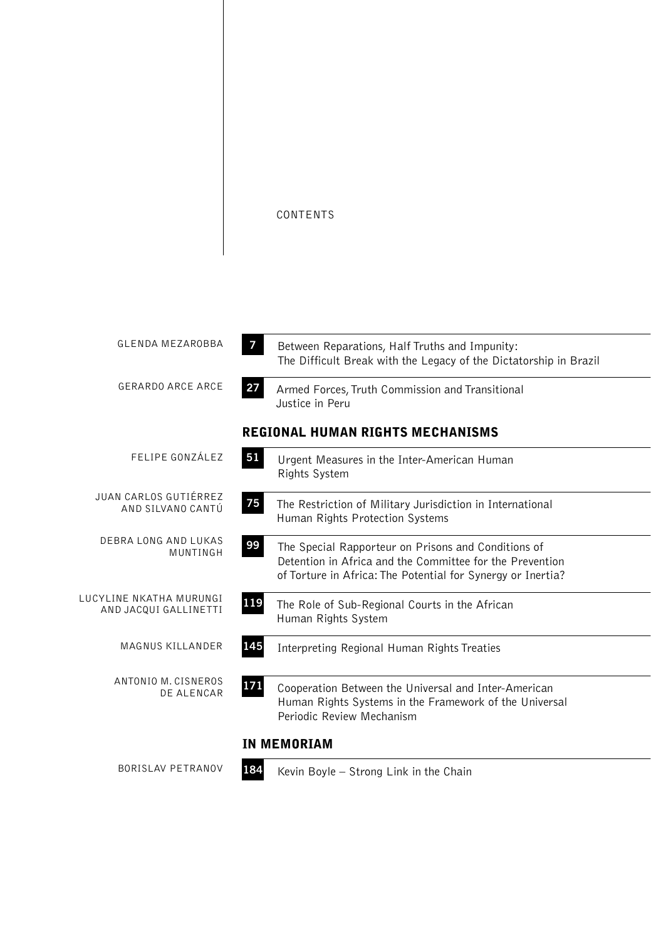### CONTENTS

| GLENDA MEZAROBBA                                 | Between Reparations, Half Truths and Impunity:<br>The Difficult Break with the Legacy of the Dictatorship in Brazil                                                                  |  |  |  |  |  |
|--------------------------------------------------|--------------------------------------------------------------------------------------------------------------------------------------------------------------------------------------|--|--|--|--|--|
| <b>GERARDO ARCE ARCE</b>                         | 27<br>Armed Forces, Truth Commission and Transitional<br>Justice in Peru                                                                                                             |  |  |  |  |  |
| <b>REGIONAL HUMAN RIGHTS MECHANISMS</b>          |                                                                                                                                                                                      |  |  |  |  |  |
| FELIPE GONZÁLEZ                                  | 51<br>Urgent Measures in the Inter-American Human<br>Rights System                                                                                                                   |  |  |  |  |  |
| JUAN CARLOS GUTIÉRREZ<br>AND SILVANO CANTÚ       | 75<br>The Restriction of Military Jurisdiction in International<br>Human Rights Protection Systems                                                                                   |  |  |  |  |  |
| DEBRA LONG AND LUKAS<br>MUNTINGH                 | 99<br>The Special Rapporteur on Prisons and Conditions of<br>Detention in Africa and the Committee for the Prevention<br>of Torture in Africa: The Potential for Synergy or Inertia? |  |  |  |  |  |
| LUCYLINE NKATHA MURUNGI<br>AND JACQUI GALLINETTI | 119<br>The Role of Sub-Regional Courts in the African<br>Human Rights System                                                                                                         |  |  |  |  |  |
| MAGNUS KILLANDER                                 | 145<br>Interpreting Regional Human Rights Treaties                                                                                                                                   |  |  |  |  |  |
| ANTONIO M. CISNEROS<br>DE ALENCAR                | 171<br>Cooperation Between the Universal and Inter-American<br>Human Rights Systems in the Framework of the Universal<br>Periodic Review Mechanism                                   |  |  |  |  |  |
|                                                  | <b>IN MEMORIAM</b>                                                                                                                                                                   |  |  |  |  |  |
| <b>BORISLAV PETRANOV</b>                         | 184<br>Kevin Boyle – Strong Link in the Chain                                                                                                                                        |  |  |  |  |  |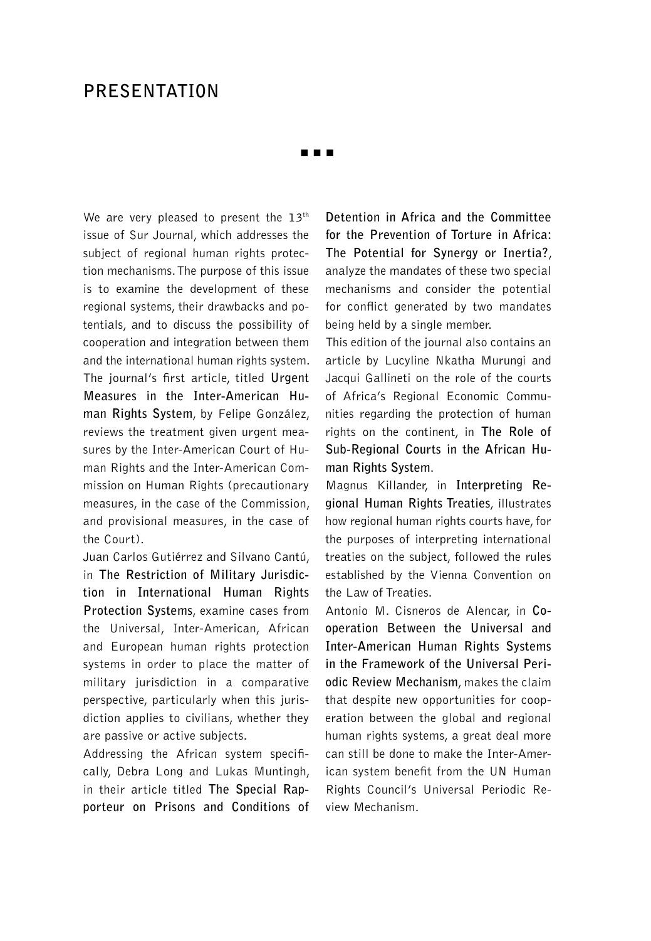# **PRESENTATION**

■ ■ ■

We are very pleased to present the  $13<sup>th</sup>$ issue of Sur Journal, which addresses the subject of regional human rights protection mechanisms. The purpose of this issue is to examine the development of these regional systems, their drawbacks and potentials, and to discuss the possibility of cooperation and integration between them and the international human rights system. The journal's first article, titled Urgent **Measures in the Inter-American Human Rights System**, by Felipe González, reviews the treatment given urgent measures by the Inter-American Court of Human Rights and the Inter-American Commission on Human Rights (precautionary measures, in the case of the Commission, and provisional measures, in the case of the Court).

Juan Carlos Gutiérrez and Silvano Cantú, in **The Restriction of Military Jurisdiction in International Human Rights Protection Systems**, examine cases from the Universal, Inter-American, African and European human rights protection systems in order to place the matter of military jurisdiction in a comparative perspective, particularly when this jurisdiction applies to civilians, whether they are passive or active subjects.

Addressing the African system specifically, Debra Long and Lukas Muntingh, in their article titled **The Special Rapporteur on Prisons and Conditions of**  **Detention in Africa and the Committee for the Prevention of Torture in Africa: The Potential for Synergy or Inertia?**, analyze the mandates of these two special mechanisms and consider the potential for conflict generated by two mandates being held by a single member.

This edition of the journal also contains an article by Lucyline Nkatha Murungi and Jacqui Gallineti on the role of the courts of Africa's Regional Economic Communities regarding the protection of human rights on the continent, in **The Role of Sub-Regional Courts in the African Human Rights System**.

Magnus Killander, in **Interpreting Regional Human Rights Treaties**, illustrates how regional human rights courts have, for the purposes of interpreting international treaties on the subject, followed the rules established by the Vienna Convention on the Law of Treaties.

Antonio M. Cisneros de Alencar, in **Cooperation Between the Universal and Inter-American Human Rights Systems in the Framework of the Universal Periodic Review Mechanism**, makes the claim that despite new opportunities for cooperation between the global and regional human rights systems, a great deal more can still be done to make the Inter-American system benefit from the UN Human Rights Council's Universal Periodic Review Mechanism.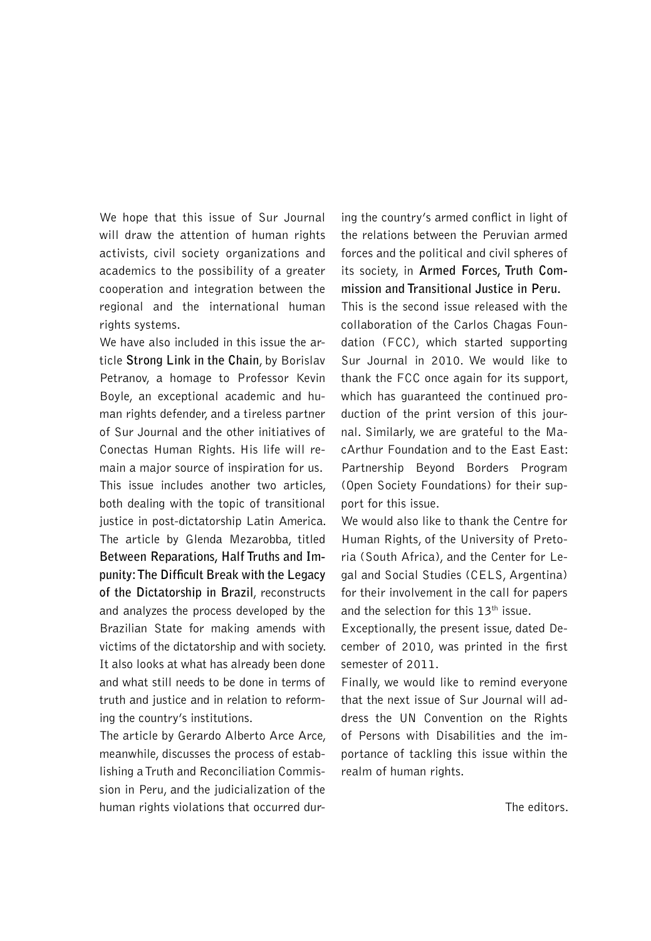We hope that this issue of Sur Journal will draw the attention of human rights activists, civil society organizations and academics to the possibility of a greater cooperation and integration between the regional and the international human rights systems.

We have also included in this issue the article **Strong Link in the Chain**, by Borislav Petranov, a homage to Professor Kevin Boyle, an exceptional academic and human rights defender, and a tireless partner of Sur Journal and the other initiatives of Conectas Human Rights. His life will remain a major source of inspiration for us. This issue includes another two articles, both dealing with the topic of transitional justice in post-dictatorship Latin America. The article by Glenda Mezarobba, titled **Between Reparations, Half Truths and Im**punity: The Difficult Break with the Legacy **of the Dictatorship in Brazil**, reconstructs and analyzes the process developed by the Brazilian State for making amends with victims of the dictatorship and with society. It also looks at what has already been done and what still needs to be done in terms of truth and justice and in relation to reforming the country's institutions.

The article by Gerardo Alberto Arce Arce, meanwhile, discusses the process of establishing a Truth and Reconciliation Commission in Peru, and the judicialization of the human rights violations that occurred dur-

ing the country's armed conflict in light of the relations between the Peruvian armed forces and the political and civil spheres of its society, in **Armed Forces, Truth Commission and Transitional Justice in Peru.**

This is the second issue released with the collaboration of the Carlos Chagas Foundation (FCC), which started supporting Sur Journal in 2010. We would like to thank the FCC once again for its support, which has guaranteed the continued production of the print version of this journal. Similarly, we are grateful to the MacArthur Foundation and to the East East: Partnership Beyond Borders Program (Open Society Foundations) for their support for this issue.

We would also like to thank the Centre for Human Rights, of the University of Pretoria (South Africa), and the Center for Legal and Social Studies (CELS, Argentina) for their involvement in the call for papers and the selection for this  $13<sup>th</sup>$  issue.

Exceptionally, the present issue, dated December of 2010, was printed in the first semester of 2011.

Finally, we would like to remind everyone that the next issue of Sur Journal will address the UN Convention on the Rights of Persons with Disabilities and the importance of tackling this issue within the realm of human rights.

The editors.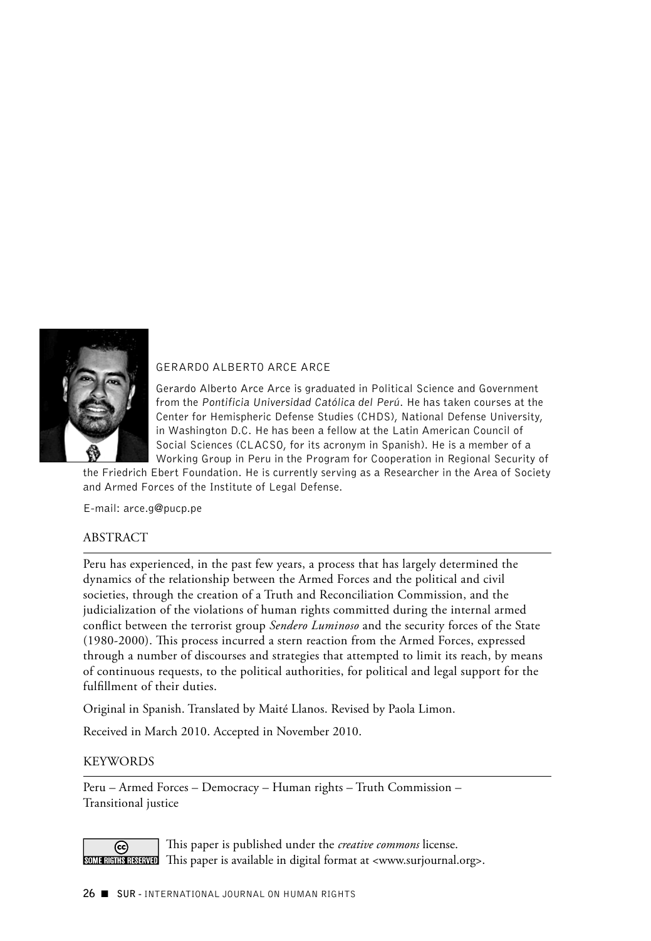

### GERARDO ALBERTO ARCE ARCE

Gerardo Alberto Arce Arce is graduated in Political Science and Government from the *Pontificia Universidad Católica del Perú*. He has taken courses at the Center for Hemispheric Defense Studies (CHDS), National Defense University, in Washington D.C. He has been a fellow at the Latin American Council of Social Sciences (CLACSO, for its acronym in Spanish). He is a member of a Working Group in Peru in the Program for Cooperation in Regional Security of

the Friedrich Ebert Foundation. He is currently serving as a Researcher in the Area of Society and Armed Forces of the Institute of Legal Defense.

E-mail: arce.g@pucp.pe

#### ABSTRACT

Peru has experienced, in the past few years, a process that has largely determined the dynamics of the relationship between the Armed Forces and the political and civil societies, through the creation of a Truth and Reconciliation Commission, and the judicialization of the violations of human rights committed during the internal armed conflict between the terrorist group *Sendero Luminoso* and the security forces of the State (1980-2000). This process incurred a stern reaction from the Armed Forces, expressed through a number of discourses and strategies that attempted to limit its reach, by means of continuous requests, to the political authorities, for political and legal support for the fulfillment of their duties.

Original in Spanish. Translated by Maité Llanos. Revised by Paola Limon.

Received in March 2010. Accepted in November 2010.

### **KEYWORDS**

ල)

Peru – Armed Forces – Democracy – Human rights – Truth Commission – Transitional justice

This paper is published under the *creative commons* license. SOME RIGHS RISHAVID This paper is available in digital format at <www.surjournal.org>.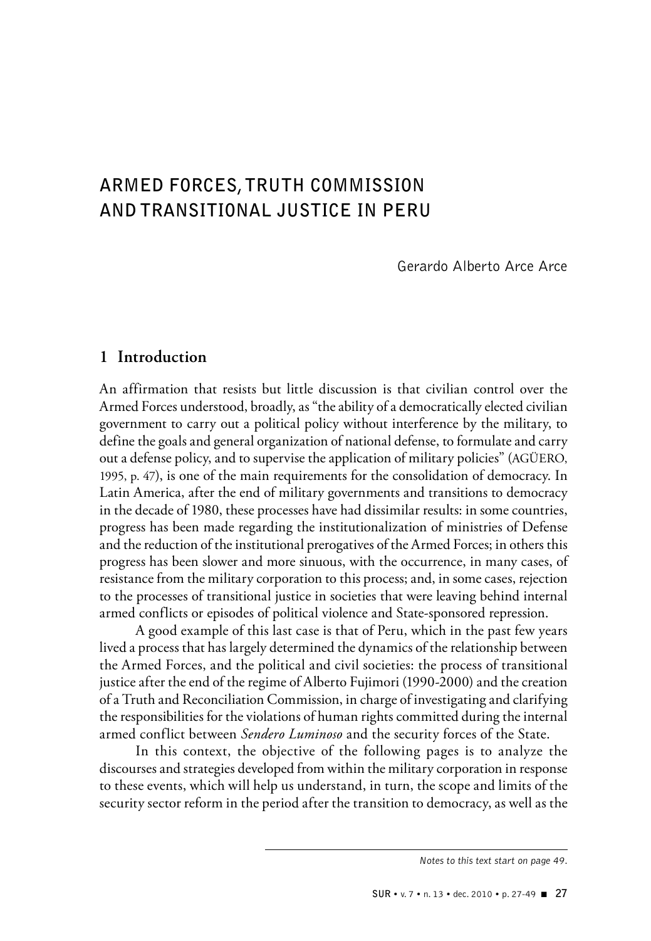# **ARMED FORCES, TRUTH COMMISSION AND TRANSITIONAL JUSTICE IN PERU**

Gerardo Alberto Arce Arce

# **1 Introduction**

An affirmation that resists but little discussion is that civilian control over the Armed Forces understood, broadly, as "the ability of a democratically elected civilian government to carry out a political policy without interference by the military, to define the goals and general organization of national defense, to formulate and carry out a defense policy, and to supervise the application of military policies" (AGÜERO, 1995, p. 47), is one of the main requirements for the consolidation of democracy. In Latin America, after the end of military governments and transitions to democracy in the decade of 1980, these processes have had dissimilar results: in some countries, progress has been made regarding the institutionalization of ministries of Defense and the reduction of the institutional prerogatives of the Armed Forces; in others this progress has been slower and more sinuous, with the occurrence, in many cases, of resistance from the military corporation to this process; and, in some cases, rejection to the processes of transitional justice in societies that were leaving behind internal armed conflicts or episodes of political violence and State-sponsored repression.

A good example of this last case is that of Peru, which in the past few years lived a process that has largely determined the dynamics of the relationship between the Armed Forces, and the political and civil societies: the process of transitional justice after the end of the regime of Alberto Fujimori (1990-2000) and the creation of a Truth and Reconciliation Commission, in charge of investigating and clarifying the responsibilities for the violations of human rights committed during the internal armed conflict between *Sendero Luminoso* and the security forces of the State.

In this context, the objective of the following pages is to analyze the discourses and strategies developed from within the military corporation in response to these events, which will help us understand, in turn, the scope and limits of the security sector reform in the period after the transition to democracy, as well as the

*Notes to this text start on page 49.*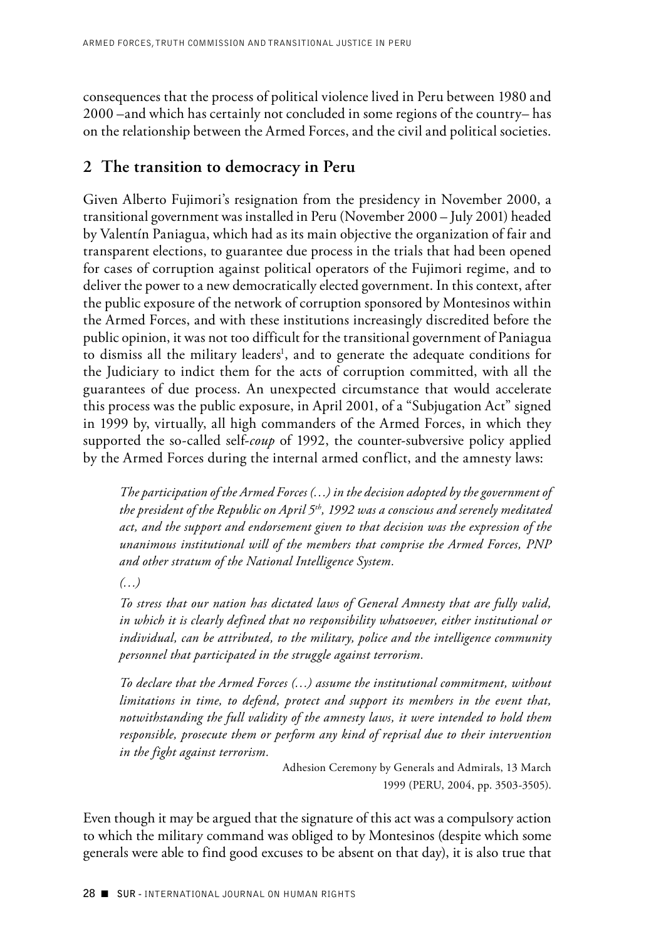consequences that the process of political violence lived in Peru between 1980 and 2000 –and which has certainly not concluded in some regions of the country– has on the relationship between the Armed Forces, and the civil and political societies.

# **2 The transition to democracy in Peru**

Given Alberto Fujimori's resignation from the presidency in November 2000, a transitional government was installed in Peru (November 2000 – July 2001) headed by Valentín Paniagua, which had as its main objective the organization of fair and transparent elections, to guarantee due process in the trials that had been opened for cases of corruption against political operators of the Fujimori regime, and to deliver the power to a new democratically elected government. In this context, after the public exposure of the network of corruption sponsored by Montesinos within the Armed Forces, and with these institutions increasingly discredited before the public opinion, it was not too difficult for the transitional government of Paniagua to dismiss all the military leaders<sup>1</sup>, and to generate the adequate conditions for the Judiciary to indict them for the acts of corruption committed, with all the guarantees of due process. An unexpected circumstance that would accelerate this process was the public exposure, in April 2001, of a "Subjugation Act" signed in 1999 by, virtually, all high commanders of the Armed Forces, in which they supported the so-called self-*coup* of 1992, the counter-subversive policy applied by the Armed Forces during the internal armed conflict, and the amnesty laws:

*The participation of the Armed Forces (…) in the decision adopted by the government of the president of the Republic on April 5th, 1992 was a conscious and serenely meditated act, and the support and endorsement given to that decision was the expression of the unanimous institutional will of the members that comprise the Armed Forces, PNP and other stratum of the National Intelligence System.*

*(…)*

*To stress that our nation has dictated laws of General Amnesty that are fully valid, in which it is clearly defined that no responsibility whatsoever, either institutional or individual, can be attributed, to the military, police and the intelligence community personnel that participated in the struggle against terrorism.*

*To declare that the Armed Forces (…) assume the institutional commitment, without limitations in time, to defend, protect and support its members in the event that, notwithstanding the full validity of the amnesty laws, it were intended to hold them responsible, prosecute them or perform any kind of reprisal due to their intervention in the fight against terrorism.*

> Adhesion Ceremony by Generals and Admirals, 13 March 1999 (PERU, 2004, pp. 3503-3505).

Even though it may be argued that the signature of this act was a compulsory action to which the military command was obliged to by Montesinos (despite which some generals were able to find good excuses to be absent on that day), it is also true that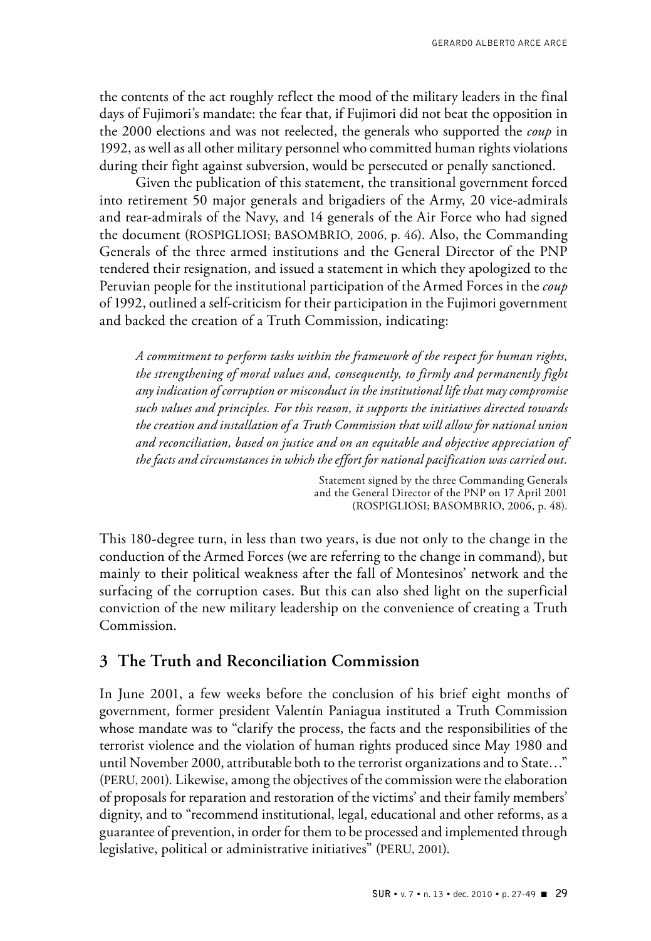the contents of the act roughly reflect the mood of the military leaders in the final days of Fujimori's mandate: the fear that, if Fujimori did not beat the opposition in the 2000 elections and was not reelected, the generals who supported the *coup* in 1992, as well as all other military personnel who committed human rights violations during their fight against subversion, would be persecuted or penally sanctioned.

Given the publication of this statement, the transitional government forced into retirement 50 major generals and brigadiers of the Army, 20 vice-admirals and rear-admirals of the Navy, and 14 generals of the Air Force who had signed the document (ROSPIGLIOSI; BASOMBRIO, 2006, p. 46). Also, the Commanding Generals of the three armed institutions and the General Director of the PNP tendered their resignation, and issued a statement in which they apologized to the Peruvian people for the institutional participation of the Armed Forces in the *coup* of 1992, outlined a self-criticism for their participation in the Fujimori government and backed the creation of a Truth Commission, indicating:

*A commitment to perform tasks within the framework of the respect for human rights, the strengthening of moral values and, consequently, to firmly and permanently fight any indication of corruption or misconduct in the institutional life that may compromise such values and principles. For this reason, it supports the initiatives directed towards the creation and installation of a Truth Commission that will allow for national union and reconciliation, based on justice and on an equitable and objective appreciation of the facts and circumstances in which the effort for national pacification was carried out.*

> Statement signed by the three Commanding Generals and the General Director of the PNP on 17 April 2001 (ROSPIGLIOSI; BASOMBRIO, 2006, p. 48).

This 180-degree turn, in less than two years, is due not only to the change in the conduction of the Armed Forces (we are referring to the change in command), but mainly to their political weakness after the fall of Montesinos' network and the surfacing of the corruption cases. But this can also shed light on the superficial conviction of the new military leadership on the convenience of creating a Truth Commission.

# **3 The Truth and Reconciliation Commission**

In June 2001, a few weeks before the conclusion of his brief eight months of government, former president Valentín Paniagua instituted a Truth Commission whose mandate was to "clarify the process, the facts and the responsibilities of the terrorist violence and the violation of human rights produced since May 1980 and until November 2000, attributable both to the terrorist organizations and to State…" (PERU, 2001). Likewise, among the objectives of the commission were the elaboration of proposals for reparation and restoration of the victims' and their family members' dignity, and to "recommend institutional, legal, educational and other reforms, as a guarantee of prevention, in order for them to be processed and implemented through legislative, political or administrative initiatives" (PERU, 2001).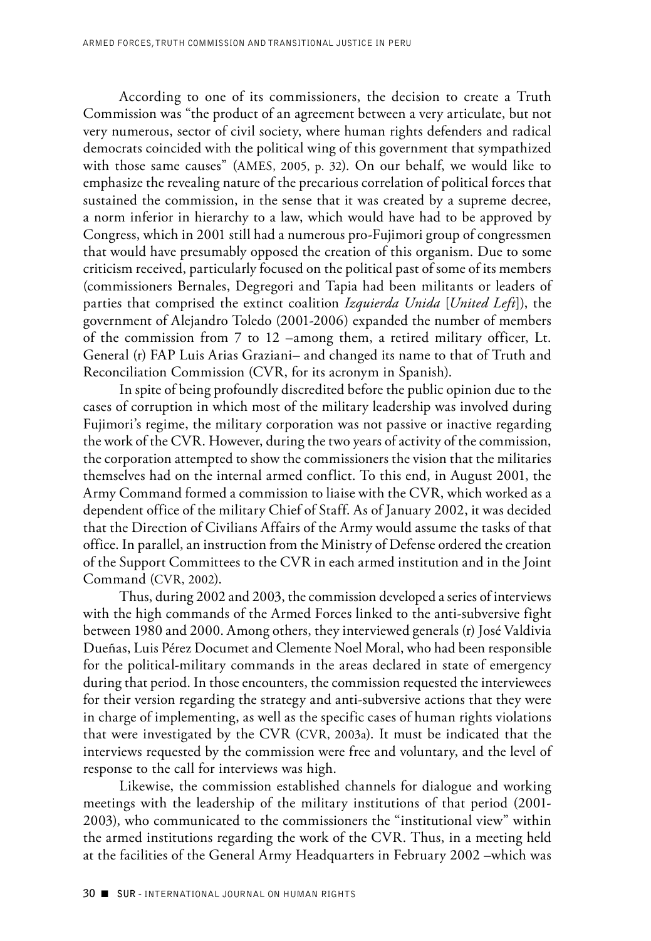According to one of its commissioners, the decision to create a Truth Commission was "the product of an agreement between a very articulate, but not very numerous, sector of civil society, where human rights defenders and radical democrats coincided with the political wing of this government that sympathized with those same causes" (AMES, 2005, p. 32). On our behalf, we would like to emphasize the revealing nature of the precarious correlation of political forces that sustained the commission, in the sense that it was created by a supreme decree, a norm inferior in hierarchy to a law, which would have had to be approved by Congress, which in 2001 still had a numerous pro-Fujimori group of congressmen that would have presumably opposed the creation of this organism. Due to some criticism received, particularly focused on the political past of some of its members (commissioners Bernales, Degregori and Tapia had been militants or leaders of parties that comprised the extinct coalition *Izquierda Unida* [*United Left*]), the government of Alejandro Toledo (2001-2006) expanded the number of members of the commission from 7 to 12 –among them, a retired military officer, Lt. General (r) FAP Luis Arias Graziani– and changed its name to that of Truth and Reconciliation Commission (CVR, for its acronym in Spanish).

In spite of being profoundly discredited before the public opinion due to the cases of corruption in which most of the military leadership was involved during Fujimori's regime, the military corporation was not passive or inactive regarding the work of the CVR. However, during the two years of activity of the commission, the corporation attempted to show the commissioners the vision that the militaries themselves had on the internal armed conflict. To this end, in August 2001, the Army Command formed a commission to liaise with the CVR, which worked as a dependent office of the military Chief of Staff. As of January 2002, it was decided that the Direction of Civilians Affairs of the Army would assume the tasks of that office. In parallel, an instruction from the Ministry of Defense ordered the creation of the Support Committees to the CVR in each armed institution and in the Joint Command (CVR, 2002).

Thus, during 2002 and 2003, the commission developed a series of interviews with the high commands of the Armed Forces linked to the anti-subversive fight between 1980 and 2000. Among others, they interviewed generals (r) José Valdivia Dueñas, Luis Pérez Documet and Clemente Noel Moral, who had been responsible for the political-military commands in the areas declared in state of emergency during that period. In those encounters, the commission requested the interviewees for their version regarding the strategy and anti-subversive actions that they were in charge of implementing, as well as the specific cases of human rights violations that were investigated by the CVR (CVR, 2003a). It must be indicated that the interviews requested by the commission were free and voluntary, and the level of response to the call for interviews was high.

Likewise, the commission established channels for dialogue and working meetings with the leadership of the military institutions of that period (2001- 2003), who communicated to the commissioners the "institutional view" within the armed institutions regarding the work of the CVR. Thus, in a meeting held at the facilities of the General Army Headquarters in February 2002 –which was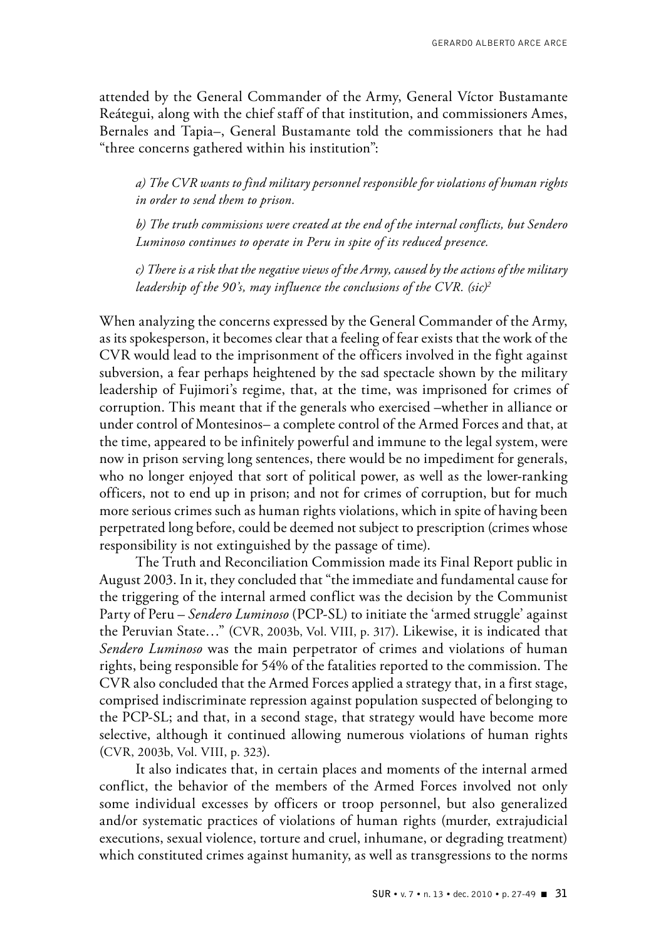attended by the General Commander of the Army, General Víctor Bustamante Reátegui, along with the chief staff of that institution, and commissioners Ames, Bernales and Tapia–, General Bustamante told the commissioners that he had "three concerns gathered within his institution":

*a) The CVR wants to find military personnel responsible for violations of human rights in order to send them to prison.*

*b) The truth commissions were created at the end of the internal conflicts, but Sendero Luminoso continues to operate in Peru in spite of its reduced presence.*

*c) There is a risk that the negative views of the Army, caused by the actions of the military leadership of the 90's, may influence the conclusions of the CVR. (sic)2*

When analyzing the concerns expressed by the General Commander of the Army, as its spokesperson, it becomes clear that a feeling of fear exists that the work of the CVR would lead to the imprisonment of the officers involved in the fight against subversion, a fear perhaps heightened by the sad spectacle shown by the military leadership of Fujimori's regime, that, at the time, was imprisoned for crimes of corruption. This meant that if the generals who exercised –whether in alliance or under control of Montesinos– a complete control of the Armed Forces and that, at the time, appeared to be infinitely powerful and immune to the legal system, were now in prison serving long sentences, there would be no impediment for generals, who no longer enjoyed that sort of political power, as well as the lower-ranking officers, not to end up in prison; and not for crimes of corruption, but for much more serious crimes such as human rights violations, which in spite of having been perpetrated long before, could be deemed not subject to prescription (crimes whose responsibility is not extinguished by the passage of time).

The Truth and Reconciliation Commission made its Final Report public in August 2003. In it, they concluded that "the immediate and fundamental cause for the triggering of the internal armed conflict was the decision by the Communist Party of Peru – *Sendero Luminoso* (PCP-SL) to initiate the 'armed struggle' against the Peruvian State…" (CVR, 2003b, Vol. VIII, p. 317). Likewise, it is indicated that *Sendero Luminoso* was the main perpetrator of crimes and violations of human rights, being responsible for 54% of the fatalities reported to the commission. The CVR also concluded that the Armed Forces applied a strategy that, in a first stage, comprised indiscriminate repression against population suspected of belonging to the PCP-SL; and that, in a second stage, that strategy would have become more selective, although it continued allowing numerous violations of human rights (CVR, 2003b, Vol. VIII, p. 323).

It also indicates that, in certain places and moments of the internal armed conflict, the behavior of the members of the Armed Forces involved not only some individual excesses by officers or troop personnel, but also generalized and/or systematic practices of violations of human rights (murder, extrajudicial executions, sexual violence, torture and cruel, inhumane, or degrading treatment) which constituted crimes against humanity, as well as transgressions to the norms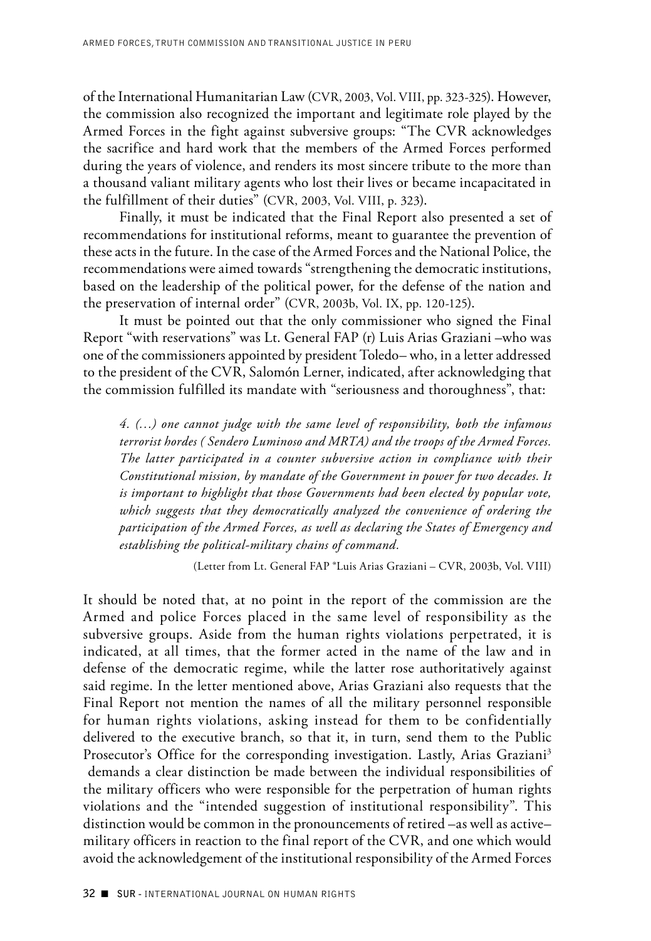of the International Humanitarian Law (CVR, 2003, Vol. VIII, pp. 323-325). However, the commission also recognized the important and legitimate role played by the Armed Forces in the fight against subversive groups: "The CVR acknowledges the sacrifice and hard work that the members of the Armed Forces performed during the years of violence, and renders its most sincere tribute to the more than a thousand valiant military agents who lost their lives or became incapacitated in the fulfillment of their duties" (CVR, 2003, Vol. VIII, p. 323).

Finally, it must be indicated that the Final Report also presented a set of recommendations for institutional reforms, meant to guarantee the prevention of these acts in the future. In the case of the Armed Forces and the National Police, the recommendations were aimed towards "strengthening the democratic institutions, based on the leadership of the political power, for the defense of the nation and the preservation of internal order" (CVR, 2003b, Vol. IX, pp. 120-125).

It must be pointed out that the only commissioner who signed the Final Report "with reservations" was Lt. General FAP (r) Luis Arias Graziani –who was one of the commissioners appointed by president Toledo– who, in a letter addressed to the president of the CVR, Salomón Lerner, indicated, after acknowledging that the commission fulfilled its mandate with "seriousness and thoroughness", that:

*4. (…) one cannot judge with the same level of responsibility, both the infamous terrorist hordes ( Sendero Luminoso and MRTA) and the troops of the Armed Forces. The latter participated in a counter subversive action in compliance with their Constitutional mission, by mandate of the Government in power for two decades. It is important to highlight that those Governments had been elected by popular vote, which suggests that they democratically analyzed the convenience of ordering the participation of the Armed Forces, as well as declaring the States of Emergency and establishing the political-military chains of command.*

(Letter from Lt. General FAP ®Luis Arias Graziani – CVR, 2003b, Vol. VIII)

It should be noted that, at no point in the report of the commission are the Armed and police Forces placed in the same level of responsibility as the subversive groups. Aside from the human rights violations perpetrated, it is indicated, at all times, that the former acted in the name of the law and in defense of the democratic regime, while the latter rose authoritatively against said regime. In the letter mentioned above, Arias Graziani also requests that the Final Report not mention the names of all the military personnel responsible for human rights violations, asking instead for them to be confidentially delivered to the executive branch, so that it, in turn, send them to the Public Prosecutor's Office for the corresponding investigation. Lastly, Arias Graziani<sup>3</sup> demands a clear distinction be made between the individual responsibilities of the military officers who were responsible for the perpetration of human rights violations and the "intended suggestion of institutional responsibility". This distinction would be common in the pronouncements of retired –as well as active– military officers in reaction to the final report of the CVR, and one which would avoid the acknowledgement of the institutional responsibility of the Armed Forces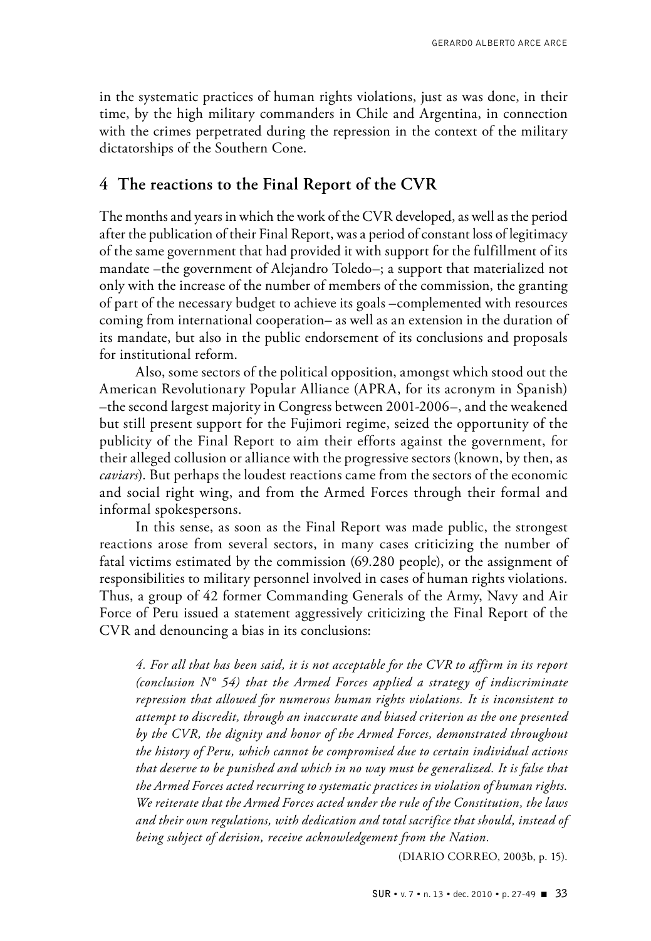in the systematic practices of human rights violations, just as was done, in their time, by the high military commanders in Chile and Argentina, in connection with the crimes perpetrated during the repression in the context of the military dictatorships of the Southern Cone.

# **4 The reactions to the Final Report of the CVR**

The months and years in which the work of the CVR developed, as well as the period after the publication of their Final Report, was a period of constant loss of legitimacy of the same government that had provided it with support for the fulfillment of its mandate –the government of Alejandro Toledo–; a support that materialized not only with the increase of the number of members of the commission, the granting of part of the necessary budget to achieve its goals –complemented with resources coming from international cooperation– as well as an extension in the duration of its mandate, but also in the public endorsement of its conclusions and proposals for institutional reform.

Also, some sectors of the political opposition, amongst which stood out the American Revolutionary Popular Alliance (APRA, for its acronym in Spanish) –the second largest majority in Congress between 2001-2006–, and the weakened but still present support for the Fujimori regime, seized the opportunity of the publicity of the Final Report to aim their efforts against the government, for their alleged collusion or alliance with the progressive sectors (known, by then, as *caviars*). But perhaps the loudest reactions came from the sectors of the economic and social right wing, and from the Armed Forces through their formal and informal spokespersons.

In this sense, as soon as the Final Report was made public, the strongest reactions arose from several sectors, in many cases criticizing the number of fatal victims estimated by the commission (69.280 people), or the assignment of responsibilities to military personnel involved in cases of human rights violations. Thus, a group of 42 former Commanding Generals of the Army, Navy and Air Force of Peru issued a statement aggressively criticizing the Final Report of the CVR and denouncing a bias in its conclusions:

*4. For all that has been said, it is not acceptable for the CVR to affirm in its report (conclusion N° 54) that the Armed Forces applied a strategy of indiscriminate repression that allowed for numerous human rights violations. It is inconsistent to attempt to discredit, through an inaccurate and biased criterion as the one presented by the CVR, the dignity and honor of the Armed Forces, demonstrated throughout the history of Peru, which cannot be compromised due to certain individual actions that deserve to be punished and which in no way must be generalized. It is false that the Armed Forces acted recurring to systematic practices in violation of human rights. We reiterate that the Armed Forces acted under the rule of the Constitution, the laws and their own regulations, with dedication and total sacrifice that should, instead of being subject of derision, receive acknowledgement from the Nation.*

(DIARIO CORREO, 2003b, p. 15).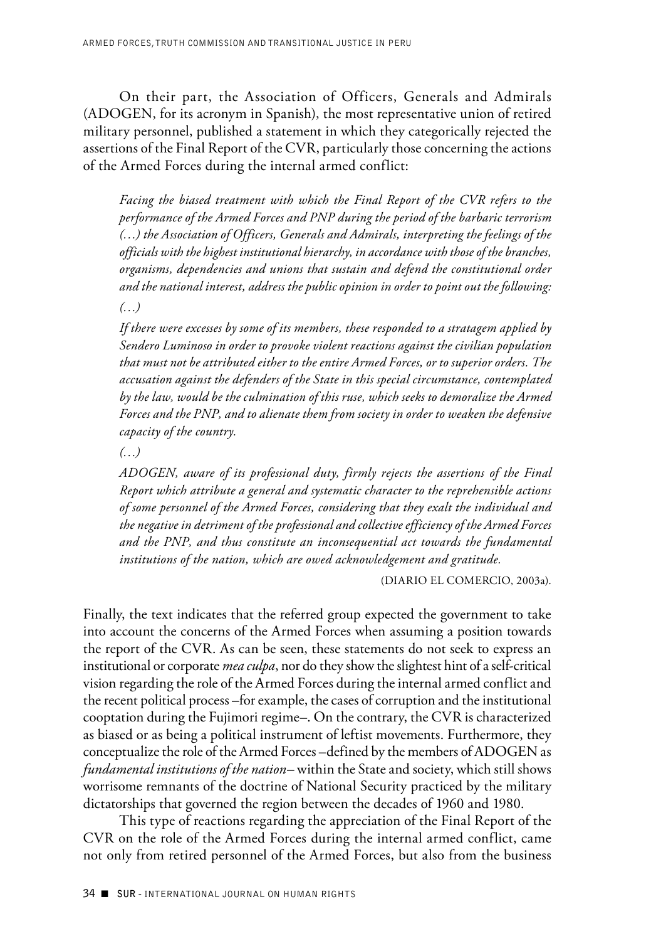On their part, the Association of Officers, Generals and Admirals (ADOGEN, for its acronym in Spanish), the most representative union of retired military personnel, published a statement in which they categorically rejected the assertions of the Final Report of the CVR, particularly those concerning the actions of the Armed Forces during the internal armed conflict:

*Facing the biased treatment with which the Final Report of the CVR refers to the performance of the Armed Forces and PNP during the period of the barbaric terrorism (…) the Association of Officers, Generals and Admirals, interpreting the feelings of the officials with the highest institutional hierarchy, in accordance with those of the branches, organisms, dependencies and unions that sustain and defend the constitutional order and the national interest, address the public opinion in order to point out the following:*

*(…)*

*If there were excesses by some of its members, these responded to a stratagem applied by Sendero Luminoso in order to provoke violent reactions against the civilian population that must not be attributed either to the entire Armed Forces, or to superior orders. The accusation against the defenders of the State in this special circumstance, contemplated by the law, would be the culmination of this ruse, which seeks to demoralize the Armed Forces and the PNP, and to alienate them from society in order to weaken the defensive capacity of the country.*

*(…)*

*ADOGEN, aware of its professional duty, firmly rejects the assertions of the Final Report which attribute a general and systematic character to the reprehensible actions of some personnel of the Armed Forces, considering that they exalt the individual and the negative in detriment of the professional and collective efficiency of the Armed Forces and the PNP, and thus constitute an inconsequential act towards the fundamental institutions of the nation, which are owed acknowledgement and gratitude.*

(DIARIO EL COMERCIO, 2003a).

Finally, the text indicates that the referred group expected the government to take into account the concerns of the Armed Forces when assuming a position towards the report of the CVR. As can be seen, these statements do not seek to express an institutional or corporate *mea culpa*, nor do they show the slightest hint of a self-critical vision regarding the role of the Armed Forces during the internal armed conflict and the recent political process –for example, the cases of corruption and the institutional cooptation during the Fujimori regime–. On the contrary, the CVR is characterized as biased or as being a political instrument of leftist movements. Furthermore, they conceptualize the role of the Armed Forces –defined by the members of ADOGEN as *fundamental institutions of the nation*– within the State and society, which still shows worrisome remnants of the doctrine of National Security practiced by the military dictatorships that governed the region between the decades of 1960 and 1980.

This type of reactions regarding the appreciation of the Final Report of the CVR on the role of the Armed Forces during the internal armed conflict, came not only from retired personnel of the Armed Forces, but also from the business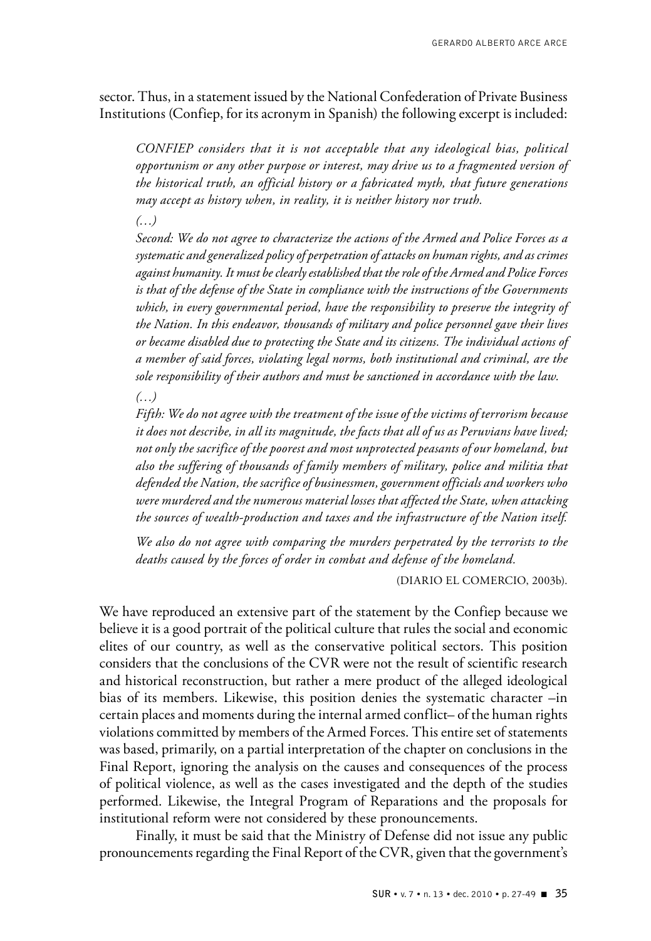sector. Thus, in a statement issued by the National Confederation of Private Business Institutions (Confiep, for its acronym in Spanish) the following excerpt is included:

*CONFIEP considers that it is not acceptable that any ideological bias, political opportunism or any other purpose or interest, may drive us to a fragmented version of the historical truth, an official history or a fabricated myth, that future generations may accept as history when, in reality, it is neither history nor truth.*

*(…)*

*Second: We do not agree to characterize the actions of the Armed and Police Forces as a systematic and generalized policy of perpetration of attacks on human rights, and as crimes against humanity. It must be clearly established that the role of the Armed and Police Forces is that of the defense of the State in compliance with the instructions of the Governments which, in every governmental period, have the responsibility to preserve the integrity of the Nation. In this endeavor, thousands of military and police personnel gave their lives or became disabled due to protecting the State and its citizens. The individual actions of a member of said forces, violating legal norms, both institutional and criminal, are the sole responsibility of their authors and must be sanctioned in accordance with the law.*

*(…)*

*Fifth: We do not agree with the treatment of the issue of the victims of terrorism because it does not describe, in all its magnitude, the facts that all of us as Peruvians have lived; not only the sacrifice of the poorest and most unprotected peasants of our homeland, but also the suffering of thousands of family members of military, police and militia that defended the Nation, the sacrifice of businessmen, government officials and workers who were murdered and the numerous material losses that affected the State, when attacking the sources of wealth-production and taxes and the infrastructure of the Nation itself.*

*We also do not agree with comparing the murders perpetrated by the terrorists to the deaths caused by the forces of order in combat and defense of the homeland.*

(DIARIO EL COMERCIO, 2003b).

We have reproduced an extensive part of the statement by the Confiep because we believe it is a good portrait of the political culture that rules the social and economic elites of our country, as well as the conservative political sectors. This position considers that the conclusions of the CVR were not the result of scientific research and historical reconstruction, but rather a mere product of the alleged ideological bias of its members. Likewise, this position denies the systematic character –in certain places and moments during the internal armed conflict– of the human rights violations committed by members of the Armed Forces. This entire set of statements was based, primarily, on a partial interpretation of the chapter on conclusions in the Final Report, ignoring the analysis on the causes and consequences of the process of political violence, as well as the cases investigated and the depth of the studies performed. Likewise, the Integral Program of Reparations and the proposals for institutional reform were not considered by these pronouncements.

Finally, it must be said that the Ministry of Defense did not issue any public pronouncements regarding the Final Report of the CVR, given that the government's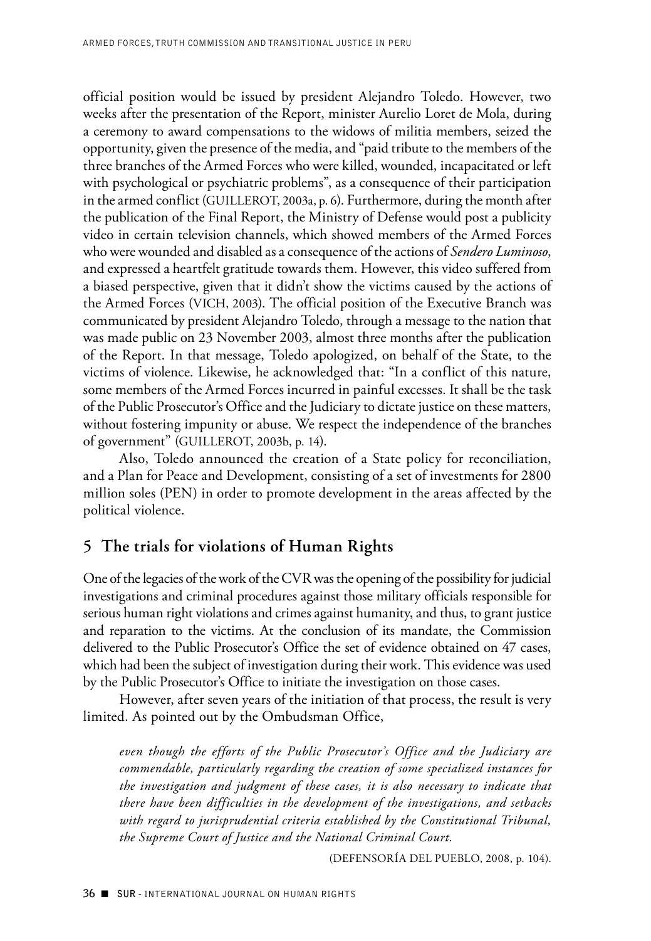official position would be issued by president Alejandro Toledo. However, two weeks after the presentation of the Report, minister Aurelio Loret de Mola, during a ceremony to award compensations to the widows of militia members, seized the opportunity, given the presence of the media, and "paid tribute to the members of the three branches of the Armed Forces who were killed, wounded, incapacitated or left with psychological or psychiatric problems", as a consequence of their participation in the armed conflict (GUILLEROT, 2003a, p. 6). Furthermore, during the month after the publication of the Final Report, the Ministry of Defense would post a publicity video in certain television channels, which showed members of the Armed Forces who were wounded and disabled as a consequence of the actions of *Sendero Luminoso*, and expressed a heartfelt gratitude towards them. However, this video suffered from a biased perspective, given that it didn't show the victims caused by the actions of the Armed Forces (VICH, 2003). The official position of the Executive Branch was communicated by president Alejandro Toledo, through a message to the nation that was made public on 23 November 2003, almost three months after the publication of the Report. In that message, Toledo apologized, on behalf of the State, to the victims of violence. Likewise, he acknowledged that: "In a conflict of this nature, some members of the Armed Forces incurred in painful excesses. It shall be the task of the Public Prosecutor's Office and the Judiciary to dictate justice on these matters, without fostering impunity or abuse. We respect the independence of the branches of government" (GUILLEROT, 2003b, p. 14).

Also, Toledo announced the creation of a State policy for reconciliation, and a Plan for Peace and Development, consisting of a set of investments for 2800 million soles (PEN) in order to promote development in the areas affected by the political violence.

# **5 The trials for violations of Human Rights**

One of the legacies of the work of the CVR was the opening of the possibility for judicial investigations and criminal procedures against those military officials responsible for serious human right violations and crimes against humanity, and thus, to grant justice and reparation to the victims. At the conclusion of its mandate, the Commission delivered to the Public Prosecutor's Office the set of evidence obtained on 47 cases, which had been the subject of investigation during their work. This evidence was used by the Public Prosecutor's Office to initiate the investigation on those cases.

However, after seven years of the initiation of that process, the result is very limited. As pointed out by the Ombudsman Office,

*even though the efforts of the Public Prosecutor's Office and the Judiciary are commendable, particularly regarding the creation of some specialized instances for the investigation and judgment of these cases, it is also necessary to indicate that there have been difficulties in the development of the investigations, and setbacks with regard to jurisprudential criteria established by the Constitutional Tribunal, the Supreme Court of Justice and the National Criminal Court.*

(DEFENSORÍA DEL PUEBLO, 2008, p. 104).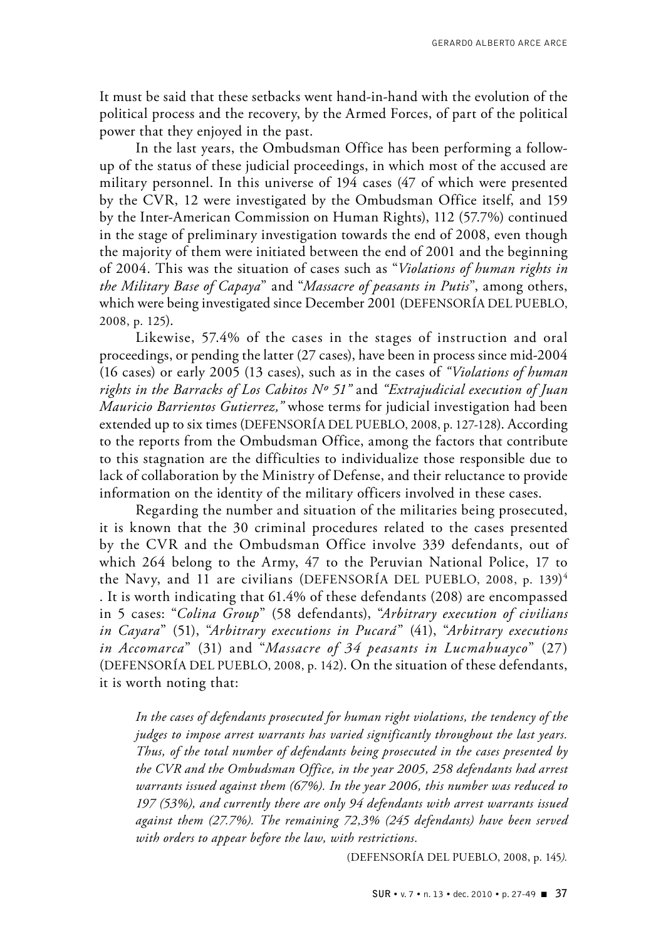It must be said that these setbacks went hand-in-hand with the evolution of the political process and the recovery, by the Armed Forces, of part of the political power that they enjoyed in the past.

In the last years, the Ombudsman Office has been performing a followup of the status of these judicial proceedings, in which most of the accused are military personnel. In this universe of 194 cases (47 of which were presented by the CVR, 12 were investigated by the Ombudsman Office itself, and 159 by the Inter-American Commission on Human Rights), 112 (57.7%) continued in the stage of preliminary investigation towards the end of 2008, even though the majority of them were initiated between the end of 2001 and the beginning of 2004. This was the situation of cases such as "*Violations of human rights in the Military Base of Capaya*" and "*Massacre of peasants in Putis*", among others, which were being investigated since December 2001 (DEFENSORÍA DEL PUEBLO, 2008, p. 125).

Likewise, 57.4% of the cases in the stages of instruction and oral proceedings, or pending the latter (27 cases), have been in process since mid-2004 (16 cases) or early 2005 (13 cases), such as in the cases of *"Violations of human rights in the Barracks of Los Cabitos Nº 51"* and *"Extrajudicial execution of Juan Mauricio Barrientos Gutierrez,"* whose terms for judicial investigation had been extended up to six times (DEFENSORÍA DEL PUEBLO, 2008, p. 127-128). According to the reports from the Ombudsman Office, among the factors that contribute to this stagnation are the difficulties to individualize those responsible due to lack of collaboration by the Ministry of Defense, and their reluctance to provide information on the identity of the military officers involved in these cases.

Regarding the number and situation of the militaries being prosecuted, it is known that the 30 criminal procedures related to the cases presented by the CVR and the Ombudsman Office involve 339 defendants, out of which 264 belong to the Army, 47 to the Peruvian National Police, 17 to the Navy, and 11 are civilians (DEFENSORÍA DEL PUEBLO, 2008, p. 139) $4$ . It is worth indicating that 61.4% of these defendants (208) are encompassed in 5 cases: "*Colina Group*" (58 defendants), "*Arbitrary execution of civilians in Cayara*" (51), "*Arbitrary executions in Pucará*" (41), "*Arbitrary executions in Accomarca*" (31) and "*Massacre of 34 peasants in Lucmahuayco*" (27) (DEFENSORÍA DEL PUEBLO, 2008, p. 142). On the situation of these defendants, it is worth noting that:

*In the cases of defendants prosecuted for human right violations, the tendency of the judges to impose arrest warrants has varied significantly throughout the last years. Thus, of the total number of defendants being prosecuted in the cases presented by the CVR and the Ombudsman Office, in the year 2005, 258 defendants had arrest warrants issued against them (67%). In the year 2006, this number was reduced to 197 (53%), and currently there are only 94 defendants with arrest warrants issued against them (27.7%). The remaining 72,3% (245 defendants) have been served with orders to appear before the law, with restrictions.*

(DEFENSORÍA DEL PUEBLO, 2008, p. 145*).*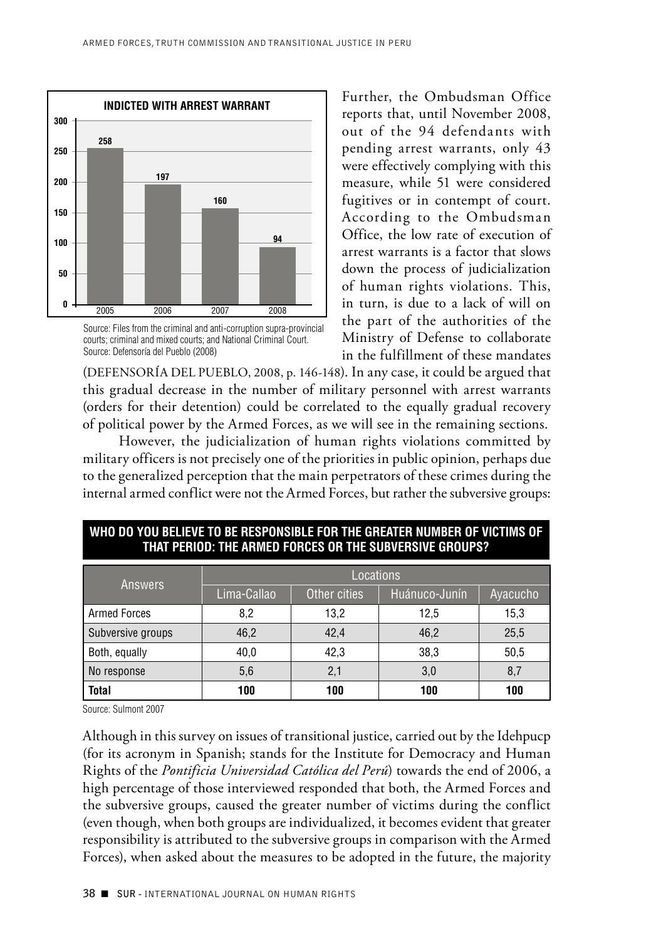

Source: Files from the criminal and anti-corruption supra-provincial courts; criminal and mixed courts; and National Criminal Court. Source: Defensoría del Pueblo (2008)

Further, the Ombudsman Office reports that, until November 2008, out of the 94 defendants with pending arrest warrants, only 43 were effectively complying with this measure, while 51 were considered fugitives or in contempt of court. According to the Ombudsman Office, the low rate of execution of arrest warrants is a factor that slows down the process of judicialization of human rights violations. This, in turn, is due to a lack of will on the part of the authorities of the Ministry of Defense to collaborate in the fulfillment of these mandates

(DEFENSORÍA DEL PUEBLO, 2008, p. 146-148). In any case, it could be argued that this gradual decrease in the number of military personnel with arrest warrants (orders for their detention) could be correlated to the equally gradual recovery of political power by the Armed Forces, as we will see in the remaining sections.

However, the judicialization of human rights violations committed by military officers is not precisely one of the priorities in public opinion, perhaps due to the generalized perception that the main perpetrators of these crimes during the internal armed conflict were not the Armed Forces, but rather the subversive groups:

| <b>Answers</b>      | Locations   |              |               |          |  |
|---------------------|-------------|--------------|---------------|----------|--|
|                     | Lima-Callao | Other cities | Huánuco-Junín | Ayacucho |  |
| <b>Armed Forces</b> | 8,2         | 13,2         | 12.5          | 15,3     |  |
| Subversive groups   | 46,2        | 42,4         | 46,2          | 25,5     |  |
| Both, equally       | 40,0        | 42,3         | 38,3          | 50,5     |  |
| No response         | 5,6         | 2,1          | 3,0           | 8,7      |  |
| <b>Total</b>        | 100         | 100          | 100           | 100      |  |

# **WHO DO YOU BELIEVE TO BE RESPONSIBLE FOR THE GREATER NUMBER OF VICTIMS OF THAT PERIOD: THE ARMED FORCES OR THE SUBVERSIVE GROUPS?**

Source: Sulmont 2007

Although in this survey on issues of transitional justice, carried out by the Idehpucp (for its acronym in Spanish; stands for the Institute for Democracy and Human Rights of the *Pontificia Universidad Católica del Perú*) towards the end of 2006, a high percentage of those interviewed responded that both, the Armed Forces and the subversive groups, caused the greater number of victims during the conflict (even though, when both groups are individualized, it becomes evident that greater responsibility is attributed to the subversive groups in comparison with the Armed Forces), when asked about the measures to be adopted in the future, the majority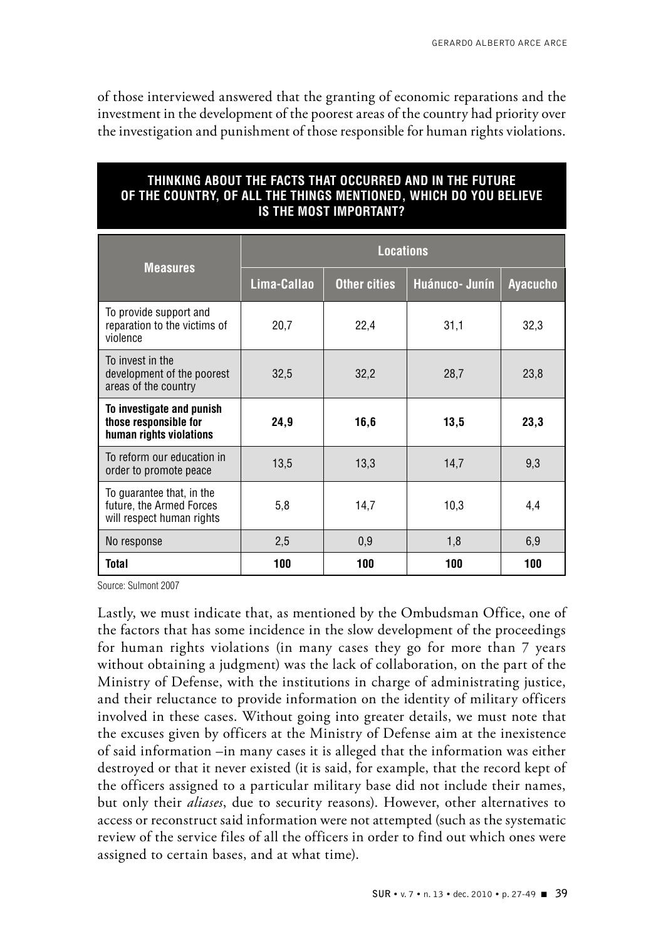of those interviewed answered that the granting of economic reparations and the investment in the development of the poorest areas of the country had priority over the investigation and punishment of those responsible for human rights violations.

## **THINKING ABOUT THE FACTS THAT OCCURRED AND IN THE FUTURE OF THE COUNTRY, OF ALL THE THINGS MENTIONED, WHICH DO YOU BELIEVE IS THE MOST IMPORTANT?**

| <b>Measures</b>                                                                    | <b>Locations</b> |                     |                |                 |  |
|------------------------------------------------------------------------------------|------------------|---------------------|----------------|-----------------|--|
|                                                                                    | Lima-Callao      | <b>Other cities</b> | Huánuco- Junín | <b>Ayacucho</b> |  |
| To provide support and<br>reparation to the victims of<br>violence                 | 20,7             | 22,4                | 31,1           | 32,3            |  |
| To invest in the<br>development of the poorest<br>areas of the country             | 32,5             | 32,2                | 28,7           | 23,8            |  |
| To investigate and punish<br>those responsible for<br>human rights violations      | 24,9             | 16,6                | 13,5           | 23,3            |  |
| To reform our education in<br>order to promote peace                               | 13,5             | 13.3                | 14,7           | 9,3             |  |
| To guarantee that, in the<br>future, the Armed Forces<br>will respect human rights | 5,8              | 14,7                | 10,3           | 4,4             |  |
| No response                                                                        | 2,5              | 0,9                 | 1,8            | 6,9             |  |
| <b>Total</b>                                                                       | 100              | 100                 | 100            | 100             |  |

Source: Sulmont 2007

Lastly, we must indicate that, as mentioned by the Ombudsman Office, one of the factors that has some incidence in the slow development of the proceedings for human rights violations (in many cases they go for more than 7 years without obtaining a judgment) was the lack of collaboration, on the part of the Ministry of Defense, with the institutions in charge of administrating justice, and their reluctance to provide information on the identity of military officers involved in these cases. Without going into greater details, we must note that the excuses given by officers at the Ministry of Defense aim at the inexistence of said information –in many cases it is alleged that the information was either destroyed or that it never existed (it is said, for example, that the record kept of the officers assigned to a particular military base did not include their names, but only their *aliases*, due to security reasons). However, other alternatives to access or reconstruct said information were not attempted (such as the systematic review of the service files of all the officers in order to find out which ones were assigned to certain bases, and at what time).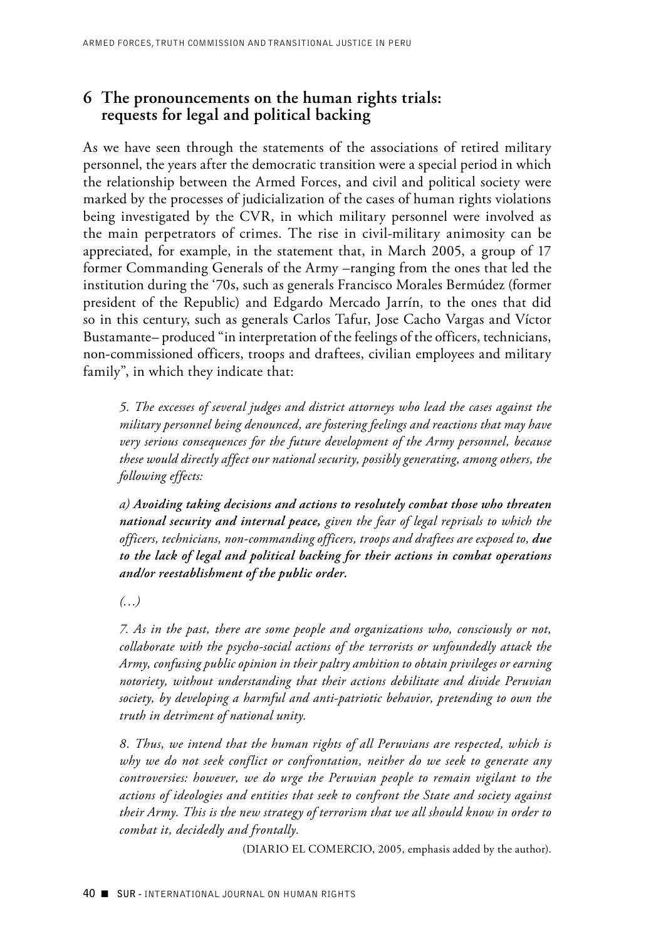# **6 The pronouncements on the human rights trials: requests for legal and political backing**

As we have seen through the statements of the associations of retired military personnel, the years after the democratic transition were a special period in which the relationship between the Armed Forces, and civil and political society were marked by the processes of judicialization of the cases of human rights violations being investigated by the CVR, in which military personnel were involved as the main perpetrators of crimes. The rise in civil-military animosity can be appreciated, for example, in the statement that, in March 2005, a group of 17 former Commanding Generals of the Army –ranging from the ones that led the institution during the '70s, such as generals Francisco Morales Bermúdez (former president of the Republic) and Edgardo Mercado Jarrín, to the ones that did so in this century, such as generals Carlos Tafur, Jose Cacho Vargas and Víctor Bustamante– produced "in interpretation of the feelings of the officers, technicians, non-commissioned officers, troops and draftees, civilian employees and military family", in which they indicate that:

*5. The excesses of several judges and district attorneys who lead the cases against the military personnel being denounced, are fostering feelings and reactions that may have very serious consequences for the future development of the Army personnel, because these would directly affect our national security, possibly generating, among others, the following effects:*

*a) Avoiding taking decisions and actions to resolutely combat those who threaten national security and internal peace, given the fear of legal reprisals to which the officers, technicians, non-commanding officers, troops and draftees are exposed to, due to the lack of legal and political backing for their actions in combat operations and/or reestablishment of the public order.*

*(…)*

*7. As in the past, there are some people and organizations who, consciously or not, collaborate with the psycho-social actions of the terrorists or unfoundedly attack the Army, confusing public opinion in their paltry ambition to obtain privileges or earning notoriety, without understanding that their actions debilitate and divide Peruvian society, by developing a harmful and anti-patriotic behavior, pretending to own the truth in detriment of national unity.*

*8. Thus, we intend that the human rights of all Peruvians are respected, which is why we do not seek conflict or confrontation, neither do we seek to generate any controversies: however, we do urge the Peruvian people to remain vigilant to the actions of ideologies and entities that seek to confront the State and society against their Army. This is the new strategy of terrorism that we all should know in order to combat it, decidedly and frontally.*

(DIARIO EL COMERCIO, 2005, emphasis added by the author).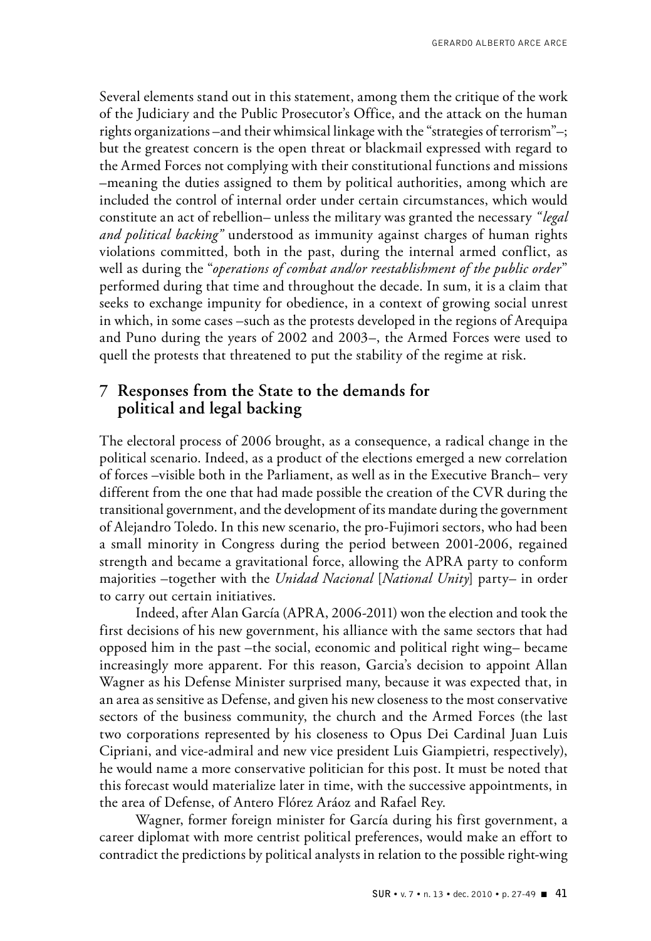Several elements stand out in this statement, among them the critique of the work of the Judiciary and the Public Prosecutor's Office, and the attack on the human rights organizations –and their whimsical linkage with the "strategies of terrorism"–; but the greatest concern is the open threat or blackmail expressed with regard to the Armed Forces not complying with their constitutional functions and missions –meaning the duties assigned to them by political authorities, among which are included the control of internal order under certain circumstances, which would constitute an act of rebellion– unless the military was granted the necessary *"legal and political backing"* understood as immunity against charges of human rights violations committed, both in the past, during the internal armed conflict, as well as during the "*operations of combat and/or reestablishment of the public order*" performed during that time and throughout the decade. In sum, it is a claim that seeks to exchange impunity for obedience, in a context of growing social unrest in which, in some cases –such as the protests developed in the regions of Arequipa and Puno during the years of 2002 and 2003–, the Armed Forces were used to quell the protests that threatened to put the stability of the regime at risk.

# **7 Responses from the State to the demands for political and legal backing**

The electoral process of 2006 brought, as a consequence, a radical change in the political scenario. Indeed, as a product of the elections emerged a new correlation of forces –visible both in the Parliament, as well as in the Executive Branch– very different from the one that had made possible the creation of the CVR during the transitional government, and the development of its mandate during the government of Alejandro Toledo. In this new scenario, the pro-Fujimori sectors, who had been a small minority in Congress during the period between 2001-2006, regained strength and became a gravitational force, allowing the APRA party to conform majorities –together with the *Unidad Nacional* [*National Unity*] party– in order to carry out certain initiatives.

Indeed, after Alan García (APRA, 2006-2011) won the election and took the first decisions of his new government, his alliance with the same sectors that had opposed him in the past –the social, economic and political right wing– became increasingly more apparent. For this reason, Garcia's decision to appoint Allan Wagner as his Defense Minister surprised many, because it was expected that, in an area as sensitive as Defense, and given his new closeness to the most conservative sectors of the business community, the church and the Armed Forces (the last two corporations represented by his closeness to Opus Dei Cardinal Juan Luis Cipriani, and vice-admiral and new vice president Luis Giampietri, respectively), he would name a more conservative politician for this post. It must be noted that this forecast would materialize later in time, with the successive appointments, in the area of Defense, of Antero Flórez Aráoz and Rafael Rey.

Wagner, former foreign minister for García during his first government, a career diplomat with more centrist political preferences, would make an effort to contradict the predictions by political analysts in relation to the possible right-wing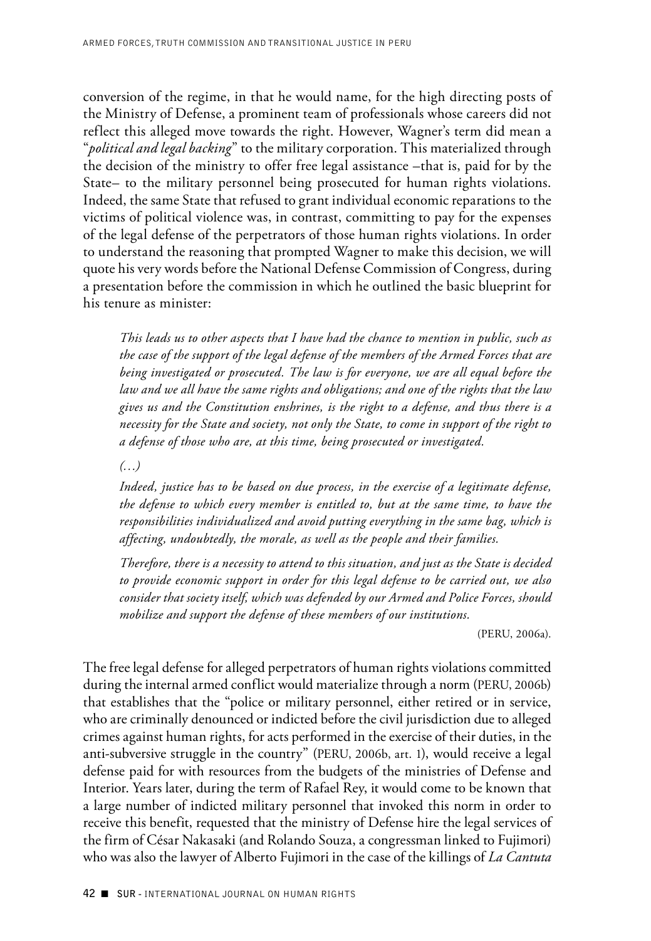conversion of the regime, in that he would name, for the high directing posts of the Ministry of Defense, a prominent team of professionals whose careers did not reflect this alleged move towards the right. However, Wagner's term did mean a "*political and legal backing*" to the military corporation. This materialized through the decision of the ministry to offer free legal assistance –that is, paid for by the State– to the military personnel being prosecuted for human rights violations. Indeed, the same State that refused to grant individual economic reparations to the victims of political violence was, in contrast, committing to pay for the expenses of the legal defense of the perpetrators of those human rights violations. In order to understand the reasoning that prompted Wagner to make this decision, we will quote his very words before the National Defense Commission of Congress, during a presentation before the commission in which he outlined the basic blueprint for his tenure as minister:

*This leads us to other aspects that I have had the chance to mention in public, such as the case of the support of the legal defense of the members of the Armed Forces that are being investigated or prosecuted. The law is for everyone, we are all equal before the law and we all have the same rights and obligations; and one of the rights that the law gives us and the Constitution enshrines, is the right to a defense, and thus there is a necessity for the State and society, not only the State, to come in support of the right to a defense of those who are, at this time, being prosecuted or investigated.*

*(…)*

*Indeed, justice has to be based on due process, in the exercise of a legitimate defense, the defense to which every member is entitled to, but at the same time, to have the responsibilities individualized and avoid putting everything in the same bag, which is affecting, undoubtedly, the morale, as well as the people and their families.*

*Therefore, there is a necessity to attend to this situation, and just as the State is decided to provide economic support in order for this legal defense to be carried out, we also consider that society itself, which was defended by our Armed and Police Forces, should mobilize and support the defense of these members of our institutions.*

(PERU, 2006a).

The free legal defense for alleged perpetrators of human rights violations committed during the internal armed conflict would materialize through a norm (PERU, 2006b) that establishes that the "police or military personnel, either retired or in service, who are criminally denounced or indicted before the civil jurisdiction due to alleged crimes against human rights, for acts performed in the exercise of their duties, in the anti-subversive struggle in the country" (PERU, 2006b, art. 1), would receive a legal defense paid for with resources from the budgets of the ministries of Defense and Interior. Years later, during the term of Rafael Rey, it would come to be known that a large number of indicted military personnel that invoked this norm in order to receive this benefit, requested that the ministry of Defense hire the legal services of the firm of César Nakasaki (and Rolando Souza, a congressman linked to Fujimori) who was also the lawyer of Alberto Fujimori in the case of the killings of *La Cantuta*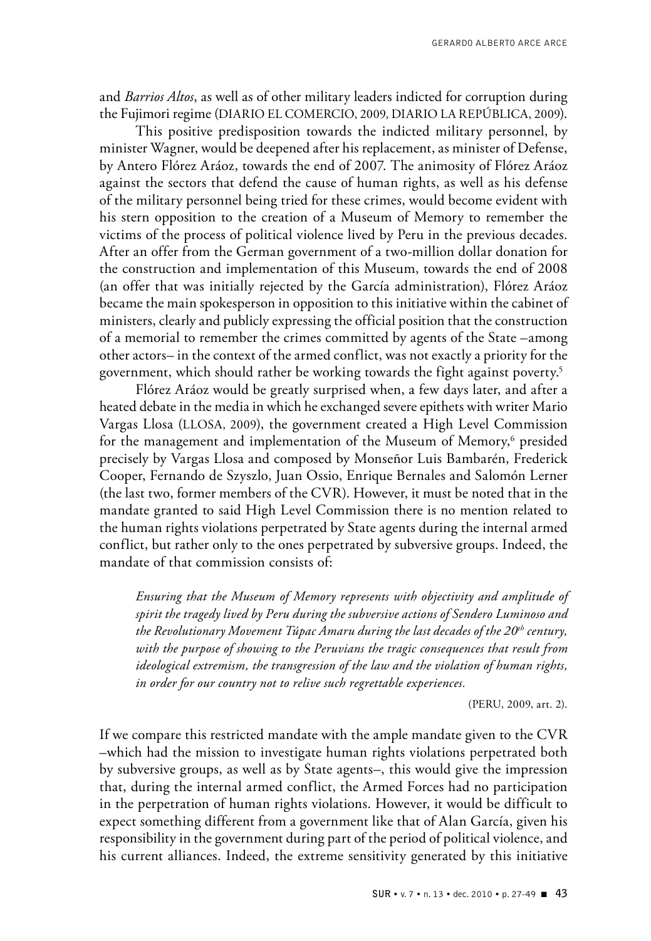and *Barrios Altos*, as well as of other military leaders indicted for corruption during the Fujimori regime (DIARIO EL COMERCIO, 2009, DIARIO LA REPÚBLICA, 2009).

This positive predisposition towards the indicted military personnel, by minister Wagner, would be deepened after his replacement, as minister of Defense, by Antero Flórez Aráoz, towards the end of 2007. The animosity of Flórez Aráoz against the sectors that defend the cause of human rights, as well as his defense of the military personnel being tried for these crimes, would become evident with his stern opposition to the creation of a Museum of Memory to remember the victims of the process of political violence lived by Peru in the previous decades. After an offer from the German government of a two-million dollar donation for the construction and implementation of this Museum, towards the end of 2008 (an offer that was initially rejected by the García administration), Flórez Aráoz became the main spokesperson in opposition to this initiative within the cabinet of ministers, clearly and publicly expressing the official position that the construction of a memorial to remember the crimes committed by agents of the State –among other actors– in the context of the armed conflict, was not exactly a priority for the government, which should rather be working towards the fight against poverty.5

Flórez Aráoz would be greatly surprised when, a few days later, and after a heated debate in the media in which he exchanged severe epithets with writer Mario Vargas Llosa (LLOSA, 2009), the government created a High Level Commission for the management and implementation of the Museum of Memory,<sup>6</sup> presided precisely by Vargas Llosa and composed by Monseñor Luis Bambarén, Frederick Cooper, Fernando de Szyszlo, Juan Ossio, Enrique Bernales and Salomón Lerner (the last two, former members of the CVR). However, it must be noted that in the mandate granted to said High Level Commission there is no mention related to the human rights violations perpetrated by State agents during the internal armed conflict, but rather only to the ones perpetrated by subversive groups. Indeed, the mandate of that commission consists of:

*Ensuring that the Museum of Memory represents with objectivity and amplitude of spirit the tragedy lived by Peru during the subversive actions of Sendero Luminoso and*  the Revolutionary Movement Túpac Amaru during the last decades of the 20<sup>th</sup> century, *with the purpose of showing to the Peruvians the tragic consequences that result from ideological extremism, the transgression of the law and the violation of human rights, in order for our country not to relive such regrettable experiences.*

(PERU, 2009, art. 2).

If we compare this restricted mandate with the ample mandate given to the CVR –which had the mission to investigate human rights violations perpetrated both by subversive groups, as well as by State agents–, this would give the impression that, during the internal armed conflict, the Armed Forces had no participation in the perpetration of human rights violations. However, it would be difficult to expect something different from a government like that of Alan García, given his responsibility in the government during part of the period of political violence, and his current alliances. Indeed, the extreme sensitivity generated by this initiative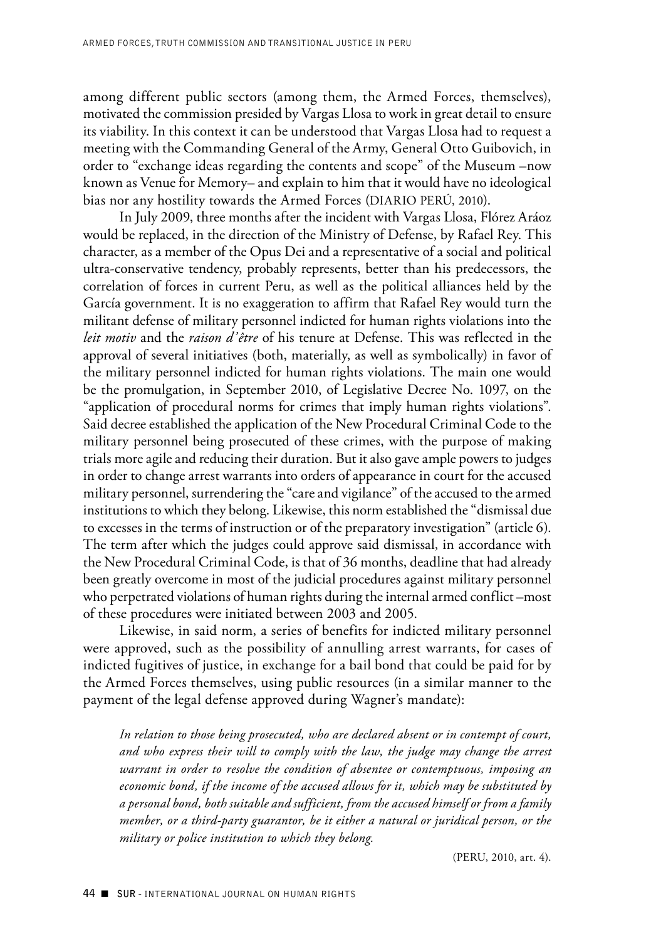among different public sectors (among them, the Armed Forces, themselves), motivated the commission presided by Vargas Llosa to work in great detail to ensure its viability. In this context it can be understood that Vargas Llosa had to request a meeting with the Commanding General of the Army, General Otto Guibovich, in order to "exchange ideas regarding the contents and scope" of the Museum –now known as Venue for Memory– and explain to him that it would have no ideological bias nor any hostility towards the Armed Forces (DIARIO PERÚ, 2010).

In July 2009, three months after the incident with Vargas Llosa, Flórez Aráoz would be replaced, in the direction of the Ministry of Defense, by Rafael Rey. This character, as a member of the Opus Dei and a representative of a social and political ultra-conservative tendency, probably represents, better than his predecessors, the correlation of forces in current Peru, as well as the political alliances held by the García government. It is no exaggeration to affirm that Rafael Rey would turn the militant defense of military personnel indicted for human rights violations into the *leit motiv* and the *raison d'être* of his tenure at Defense. This was reflected in the approval of several initiatives (both, materially, as well as symbolically) in favor of the military personnel indicted for human rights violations. The main one would be the promulgation, in September 2010, of Legislative Decree No. 1097, on the "application of procedural norms for crimes that imply human rights violations". Said decree established the application of the New Procedural Criminal Code to the military personnel being prosecuted of these crimes, with the purpose of making trials more agile and reducing their duration. But it also gave ample powers to judges in order to change arrest warrants into orders of appearance in court for the accused military personnel, surrendering the "care and vigilance" of the accused to the armed institutions to which they belong. Likewise, this norm established the "dismissal due to excesses in the terms of instruction or of the preparatory investigation" (article 6). The term after which the judges could approve said dismissal, in accordance with the New Procedural Criminal Code, is that of 36 months, deadline that had already been greatly overcome in most of the judicial procedures against military personnel who perpetrated violations of human rights during the internal armed conflict –most of these procedures were initiated between 2003 and 2005.

Likewise, in said norm, a series of benefits for indicted military personnel were approved, such as the possibility of annulling arrest warrants, for cases of indicted fugitives of justice, in exchange for a bail bond that could be paid for by the Armed Forces themselves, using public resources (in a similar manner to the payment of the legal defense approved during Wagner's mandate):

*In relation to those being prosecuted, who are declared absent or in contempt of court, and who express their will to comply with the law, the judge may change the arrest warrant in order to resolve the condition of absentee or contemptuous, imposing an economic bond, if the income of the accused allows for it, which may be substituted by a personal bond, both suitable and sufficient, from the accused himself or from a family member, or a third-party guarantor, be it either a natural or juridical person, or the military or police institution to which they belong.*

(PERU, 2010, art. 4).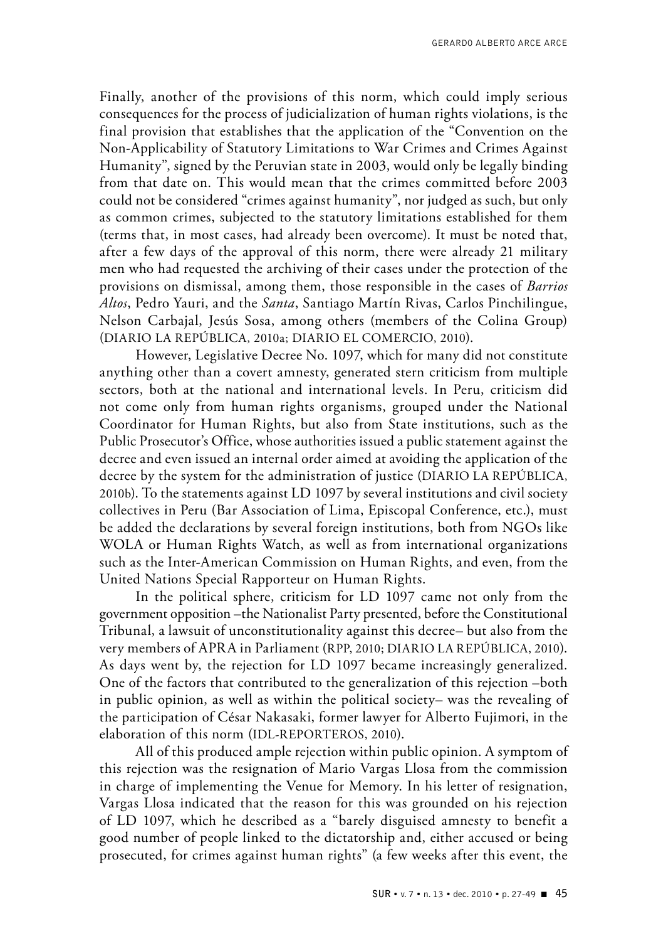Finally, another of the provisions of this norm, which could imply serious consequences for the process of judicialization of human rights violations, is the final provision that establishes that the application of the "Convention on the Non-Applicability of Statutory Limitations to War Crimes and Crimes Against Humanity", signed by the Peruvian state in 2003, would only be legally binding from that date on. This would mean that the crimes committed before 2003 could not be considered "crimes against humanity", nor judged as such, but only as common crimes, subjected to the statutory limitations established for them (terms that, in most cases, had already been overcome). It must be noted that, after a few days of the approval of this norm, there were already 21 military men who had requested the archiving of their cases under the protection of the provisions on dismissal, among them, those responsible in the cases of *Barrios Altos*, Pedro Yauri, and the *Santa*, Santiago Martín Rivas, Carlos Pinchilingue, Nelson Carbajal, Jesús Sosa, among others (members of the Colina Group) (DIARIO LA REPÚBLICA, 2010a; DIARIO EL COMERCIO, 2010).

However, Legislative Decree No. 1097, which for many did not constitute anything other than a covert amnesty, generated stern criticism from multiple sectors, both at the national and international levels. In Peru, criticism did not come only from human rights organisms, grouped under the National Coordinator for Human Rights, but also from State institutions, such as the Public Prosecutor's Office, whose authorities issued a public statement against the decree and even issued an internal order aimed at avoiding the application of the decree by the system for the administration of justice (DIARIO LA REPÚBLICA, 2010b). To the statements against LD 1097 by several institutions and civil society collectives in Peru (Bar Association of Lima, Episcopal Conference, etc.), must be added the declarations by several foreign institutions, both from NGOs like WOLA or Human Rights Watch, as well as from international organizations such as the Inter-American Commission on Human Rights, and even, from the United Nations Special Rapporteur on Human Rights.

In the political sphere, criticism for LD 1097 came not only from the government opposition –the Nationalist Party presented, before the Constitutional Tribunal, a lawsuit of unconstitutionality against this decree– but also from the very members of APRA in Parliament (RPP, 2010; DIARIO LA REPÚBLICA, 2010). As days went by, the rejection for LD 1097 became increasingly generalized. One of the factors that contributed to the generalization of this rejection –both in public opinion, as well as within the political society– was the revealing of the participation of César Nakasaki, former lawyer for Alberto Fujimori, in the elaboration of this norm (IDL-REPORTEROS, 2010).

All of this produced ample rejection within public opinion. A symptom of this rejection was the resignation of Mario Vargas Llosa from the commission in charge of implementing the Venue for Memory. In his letter of resignation, Vargas Llosa indicated that the reason for this was grounded on his rejection of LD 1097, which he described as a "barely disguised amnesty to benefit a good number of people linked to the dictatorship and, either accused or being prosecuted, for crimes against human rights" (a few weeks after this event, the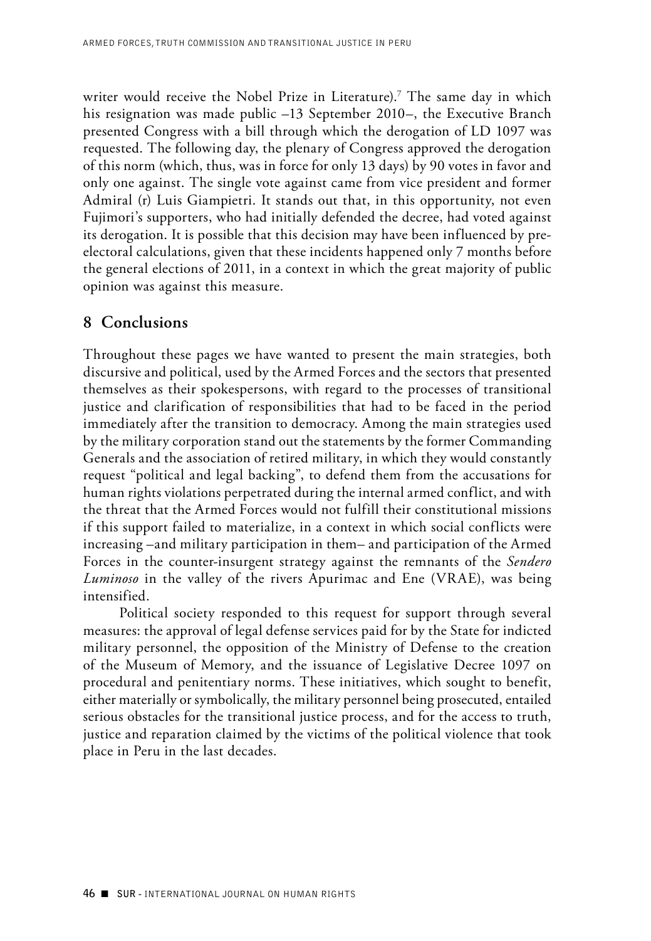writer would receive the Nobel Prize in Literature).7 The same day in which his resignation was made public –13 September 2010–, the Executive Branch presented Congress with a bill through which the derogation of LD 1097 was requested. The following day, the plenary of Congress approved the derogation of this norm (which, thus, was in force for only 13 days) by 90 votes in favor and only one against. The single vote against came from vice president and former Admiral (r) Luis Giampietri. It stands out that, in this opportunity, not even Fujimori's supporters, who had initially defended the decree, had voted against its derogation. It is possible that this decision may have been influenced by preelectoral calculations, given that these incidents happened only 7 months before the general elections of 2011, in a context in which the great majority of public opinion was against this measure.

# **8 Conclusions**

Throughout these pages we have wanted to present the main strategies, both discursive and political, used by the Armed Forces and the sectors that presented themselves as their spokespersons, with regard to the processes of transitional justice and clarification of responsibilities that had to be faced in the period immediately after the transition to democracy. Among the main strategies used by the military corporation stand out the statements by the former Commanding Generals and the association of retired military, in which they would constantly request "political and legal backing", to defend them from the accusations for human rights violations perpetrated during the internal armed conflict, and with the threat that the Armed Forces would not fulfill their constitutional missions if this support failed to materialize, in a context in which social conflicts were increasing –and military participation in them– and participation of the Armed Forces in the counter-insurgent strategy against the remnants of the *Sendero Luminoso* in the valley of the rivers Apurimac and Ene (VRAE), was being intensified.

Political society responded to this request for support through several measures: the approval of legal defense services paid for by the State for indicted military personnel, the opposition of the Ministry of Defense to the creation of the Museum of Memory, and the issuance of Legislative Decree 1097 on procedural and penitentiary norms. These initiatives, which sought to benefit, either materially or symbolically, the military personnel being prosecuted, entailed serious obstacles for the transitional justice process, and for the access to truth, justice and reparation claimed by the victims of the political violence that took place in Peru in the last decades.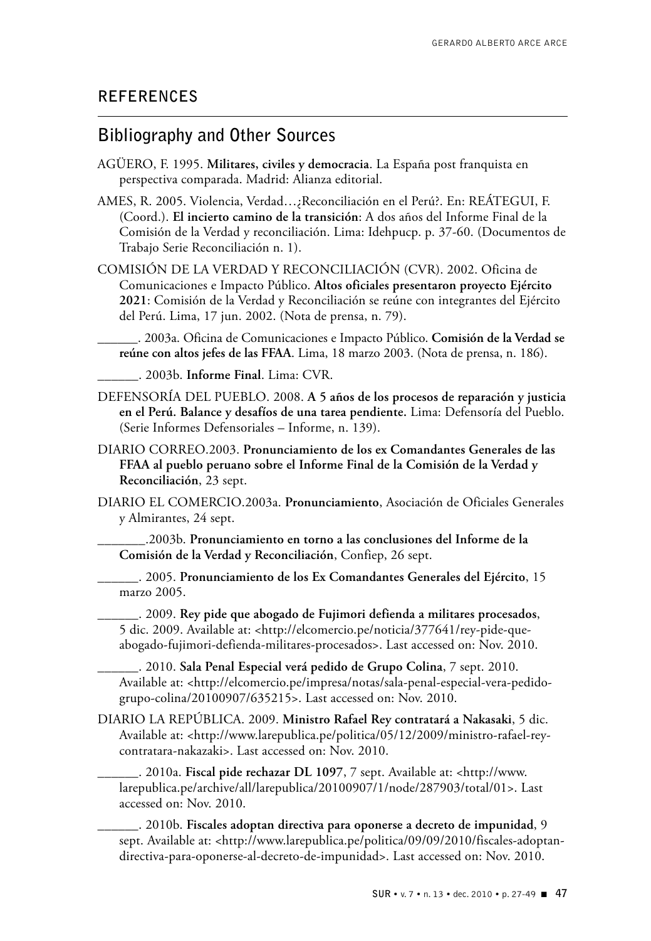# **REFERENCES**

# **Bibliography and Other Sources**

- AGÜERO, F. 1995. **Militares, civiles y democracia**. La España post franquista en perspectiva comparada. Madrid: Alianza editorial.
- AMES, R. 2005. Violencia, Verdad…¿Reconciliación en el Perú?. En: REÁTEGUI, F. (Coord.). **El incierto camino de la transición**: A dos años del Informe Final de la Comisión de la Verdad y reconciliación. Lima: Idehpucp. p. 37-60. (Documentos de Trabajo Serie Reconciliación n. 1).
- COMISIÓN DE LA VERDAD Y RECONCILIACIÓN (CVR). 2002. Oficina de Comunicaciones e Impacto Público. **Altos oficiales presentaron proyecto Ejército 2021**: Comisión de la Verdad y Reconciliación se reúne con integrantes del Ejército del Perú. Lima, 17 jun. 2002. (Nota de prensa, n. 79).

\_\_\_\_\_\_. 2003a. Oficina de Comunicaciones e Impacto Público. **Comisión de la Verdad se reúne con altos jefes de las FFAA**. Lima, 18 marzo 2003. (Nota de prensa, n. 186).

\_\_\_\_\_\_. 2003b. **Informe Final**. Lima: CVR.

- DEFENSORÍA DEL PUEBLO. 2008. **A 5 años de los procesos de reparación y justicia en el Perú. Balance y desafíos de una tarea pendiente.** Lima: Defensoría del Pueblo. (Serie Informes Defensoriales – Informe, n. 139).
- DIARIO CORREO.2003. **Pronunciamiento de los ex Comandantes Generales de las FFAA al pueblo peruano sobre el Informe Final de la Comisión de la Verdad y Reconciliación**, 23 sept.
- DIARIO EL COMERCIO.2003a. **Pronunciamiento**, Asociación de Oficiales Generales y Almirantes, 24 sept.

\_\_\_\_\_\_\_.2003b. **Pronunciamiento en torno a las conclusiones del Informe de la Comisión de la Verdad y Reconciliación**, Confiep, 26 sept.

\_\_\_\_\_\_. 2005. **Pronunciamiento de los Ex Comandantes Generales del Ejército**, 15 marzo 2005.

\_\_\_\_\_\_. 2009. **Rey pide que abogado de Fujimori defienda a militares procesados**, 5 dic. 2009. Available at: <http://elcomercio.pe/noticia/377641/rey-pide-queabogado-fujimori-defienda-militares-procesados>. Last accessed on: Nov. 2010.

\_\_\_\_\_\_. 2010. **Sala Penal Especial verá pedido de Grupo Colina**, 7 sept. 2010. Available at: <http://elcomercio.pe/impresa/notas/sala-penal-especial-vera-pedidogrupo-colina/20100907/635215>. Last accessed on: Nov. 2010.

DIARIO LA REPÚBLICA. 2009. **Ministro Rafael Rey contratará a Nakasaki**, 5 dic. Available at: <http://www.larepublica.pe/politica/05/12/2009/ministro-rafael-reycontratara-nakazaki>. Last accessed on: Nov. 2010.

\_\_\_\_\_\_. 2010a. **Fiscal pide rechazar DL 1097**, 7 sept. Available at: <http://www. larepublica.pe/archive/all/larepublica/20100907/1/node/287903/total/01>. Last accessed on: Nov. 2010.

\_\_\_\_\_\_. 2010b. **Fiscales adoptan directiva para oponerse a decreto de impunidad**, 9 sept. Available at: <http://www.larepublica.pe/politica/09/09/2010/fiscales-adoptandirectiva-para-oponerse-al-decreto-de-impunidad>. Last accessed on: Nov. 2010.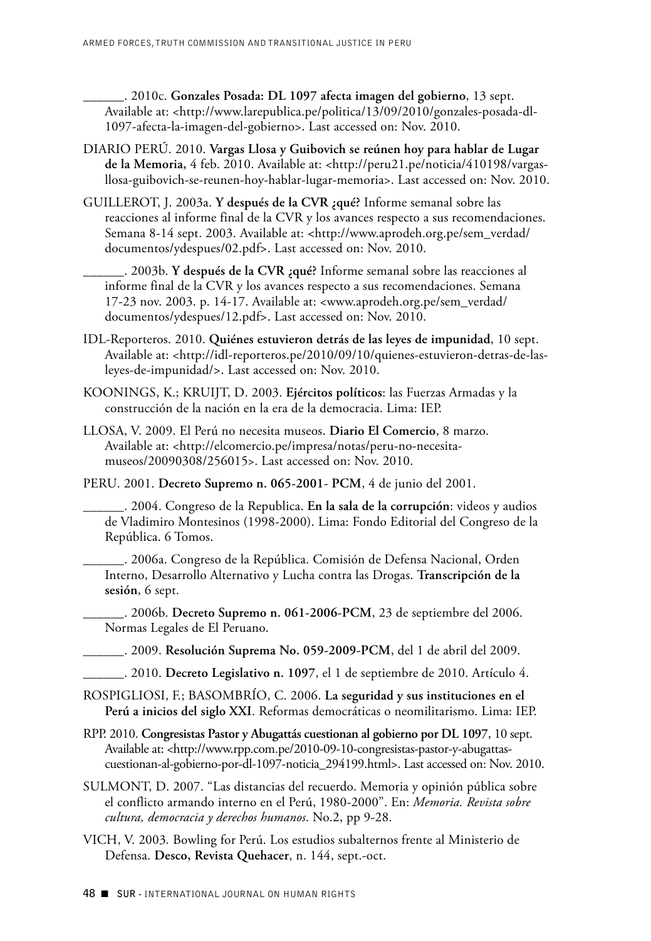\_\_\_\_\_\_. 2010c. **Gonzales Posada: DL 1097 afecta imagen del gobierno**, 13 sept. Available at: <http://www.larepublica.pe/politica/13/09/2010/gonzales-posada-dl-1097-afecta-la-imagen-del-gobierno>. Last accessed on: Nov. 2010.

- DIARIO PERÚ. 2010. **Vargas Llosa y Guibovich se reúnen hoy para hablar de Lugar de la Memoria,** 4 feb. 2010. Available at: <http://peru21.pe/noticia/410198/vargasllosa-guibovich-se-reunen-hoy-hablar-lugar-memoria>. Last accessed on: Nov. 2010.
- GUILLEROT, J. 2003a. **Y después de la CVR ¿qué?** Informe semanal sobre las reacciones al informe final de la CVR y los avances respecto a sus recomendaciones. Semana 8-14 sept. 2003. Available at: <http://www.aprodeh.org.pe/sem\_verdad/ documentos/ydespues/02.pdf>. Last accessed on: Nov. 2010.

\_\_\_\_\_\_. 2003b. **Y después de la CVR ¿qué?** Informe semanal sobre las reacciones al informe final de la CVR y los avances respecto a sus recomendaciones. Semana 17-23 nov. 2003. p. 14-17. Available at: <www.aprodeh.org.pe/sem\_verdad/ documentos/ydespues/12.pdf>. Last accessed on: Nov. 2010.

- IDL-Reporteros. 2010. **Quiénes estuvieron detrás de las leyes de impunidad**, 10 sept. Available at: <http://idl-reporteros.pe/2010/09/10/quienes-estuvieron-detras-de-lasleyes-de-impunidad/>. Last accessed on: Nov. 2010.
- KOONINGS, K.; KRUIJT, D. 2003. **Ejércitos políticos**: las Fuerzas Armadas y la construcción de la nación en la era de la democracia. Lima: IEP.
- LLOSA, V. 2009. El Perú no necesita museos. **Diario El Comercio**, 8 marzo. Available at: <http://elcomercio.pe/impresa/notas/peru-no-necesitamuseos/20090308/256015>. Last accessed on: Nov. 2010.

PERU. 2001. **Decreto Supremo n. 065-2001**- **PCM**, 4 de junio del 2001.

\_\_\_\_\_\_. 2004. Congreso de la Republica. **En la sala de la corrupción**: videos y audios de Vladimiro Montesinos (1998-2000). Lima: Fondo Editorial del Congreso de la República. 6 Tomos.

\_\_\_\_\_\_. 2006a. Congreso de la República. Comisión de Defensa Nacional, Orden Interno, Desarrollo Alternativo y Lucha contra las Drogas. **Transcripción de la sesión**, 6 sept.

\_\_\_\_\_\_. 2006b. **Decreto Supremo n. 061-2006-PCM**, 23 de septiembre del 2006. Normas Legales de El Peruano.

\_\_\_\_\_\_. 2009. **Resolución Suprema No. 059-2009-PCM**, del 1 de abril del 2009.

\_\_\_\_\_\_. 2010. **Decreto Legislativo n. 1097**, el 1 de septiembre de 2010. Artículo 4.

ROSPIGLIOSI, F.; BASOMBRÍO, C. 2006. **La seguridad y sus instituciones en el Perú a inicios del siglo XXI**. Reformas democráticas o neomilitarismo. Lima: IEP.

- RPP. 2010. **Congresistas Pastor y Abugattás cuestionan al gobierno por DL 1097**, 10 sept. Available at: <http://www.rpp.com.pe/2010-09-10-congresistas-pastor-y-abugattascuestionan-al-gobierno-por-dl-1097-noticia\_294199.html>. Last accessed on: Nov. 2010.
- SULMONT, D. 2007. "Las distancias del recuerdo. Memoria y opinión pública sobre el conflicto armando interno en el Perú, 1980-2000". En: *Memoria. Revista sobre cultura, democracia y derechos humanos*. No.2, pp 9-28.
- VICH, V. 2003*.* Bowling for Perú. Los estudios subalternos frente al Ministerio de Defensa. **Desco, Revista Quehacer**, n. 144, sept.-oct.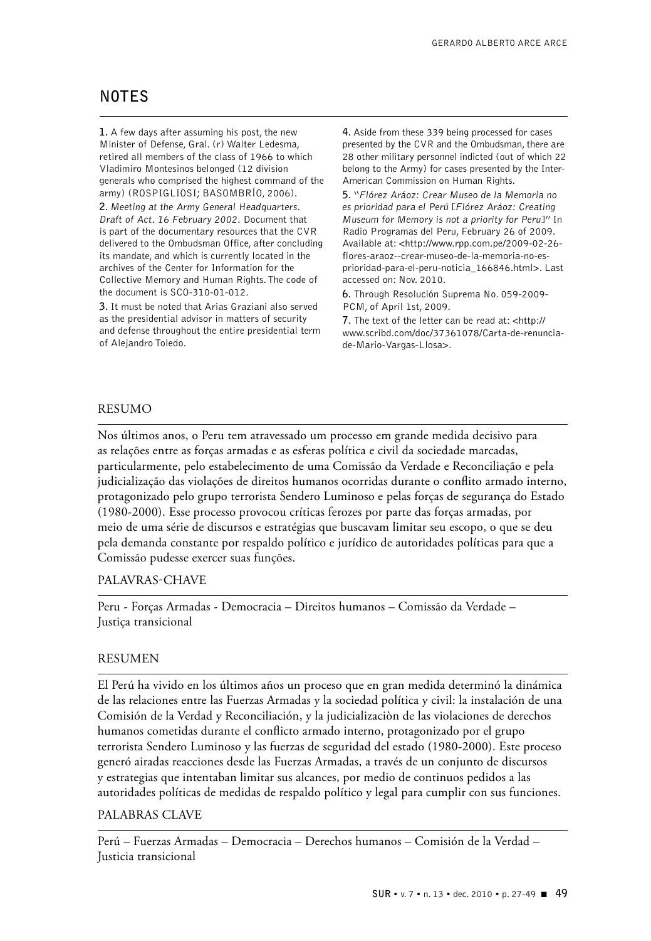# **NOTES**

**1.** A few days after assuming his post, the new Minister of Defense, Gral. (r) Walter Ledesma, retired all members of the class of 1966 to which Vladimiro Montesinos belonged (12 division generals who comprised the highest command of the army) (ROSPIGLIOSI; BASOMBRÍO, 2006).

**2.** *Meeting at the Army General Headquarters. Draft of Act. 16 February 2002.* Document that is part of the documentary resources that the CVR delivered to the Ombudsman Office, after concluding its mandate, and which is currently located in the archives of the Center for Information for the Collective Memory and Human Rights. The code of the document is SCO-310-01-012.

**3.** It must be noted that Arias Graziani also served as the presidential advisor in matters of security and defense throughout the entire presidential term of Alejandro Toledo.

**4.** Aside from these 339 being processed for cases presented by the CVR and the Ombudsman, there are 28 other military personnel indicted (out of which 22 belong to the Army) for cases presented by the Inter-American Commission on Human Rights.

**5.** "*Flórez Aráoz: Crear Museo de la Memoria no es prioridad para el Perú* [*Flórez Aráoz: Creating Museum for Memory is not a priority for Peru*]" In Radio Programas del Peru, February 26 of 2009. Available at: <http://www.rpp.com.pe/2009-02-26 flores-araoz--crear-museo-de-la-memoria-no-esprioridad-para-el-peru-noticia\_166846.html>. Last accessed on: Nov. 2010.

**6.** Through Resolución Suprema No. 059-2009- PCM, of April 1st, 2009.

**7.** The text of the letter can be read at: <http:// www.scribd.com/doc/37361078/Carta-de-renunciade-Mario-Vargas-Llosa>.

### RESUMO

Nos últimos anos, o Peru tem atravessado um processo em grande medida decisivo para as relações entre as forças armadas e as esferas política e civil da sociedade marcadas, particularmente, pelo estabelecimento de uma Comissão da Verdade e Reconciliação e pela judicialização das violações de direitos humanos ocorridas durante o conflito armado interno, protagonizado pelo grupo terrorista Sendero Luminoso e pelas forças de segurança do Estado (1980-2000). Esse processo provocou críticas ferozes por parte das forças armadas, por meio de uma série de discursos e estratégias que buscavam limitar seu escopo, o que se deu pela demanda constante por respaldo político e jurídico de autoridades políticas para que a Comissão pudesse exercer suas funções.

### PALAVRAS-CHAVE

Peru - Forças Armadas - Democracia – Direitos humanos – Comissão da Verdade – Justiça transicional

#### RESUMEN

El Perú ha vivido en los últimos años un proceso que en gran medida determinó la dinámica de las relaciones entre las Fuerzas Armadas y la sociedad política y civil: la instalación de una Comisión de la Verdad y Reconciliación, y la judicializaciòn de las violaciones de derechos humanos cometidas durante el conflicto armado interno, protagonizado por el grupo terrorista Sendero Luminoso y las fuerzas de seguridad del estado (1980-2000). Este proceso generó airadas reacciones desde las Fuerzas Armadas, a través de un conjunto de discursos y estrategias que intentaban limitar sus alcances, por medio de continuos pedidos a las autoridades políticas de medidas de respaldo político y legal para cumplir con sus funciones.

### PALABRAS CLAVE

Perú – Fuerzas Armadas – Democracia – Derechos humanos – Comisión de la Verdad – Justicia transicional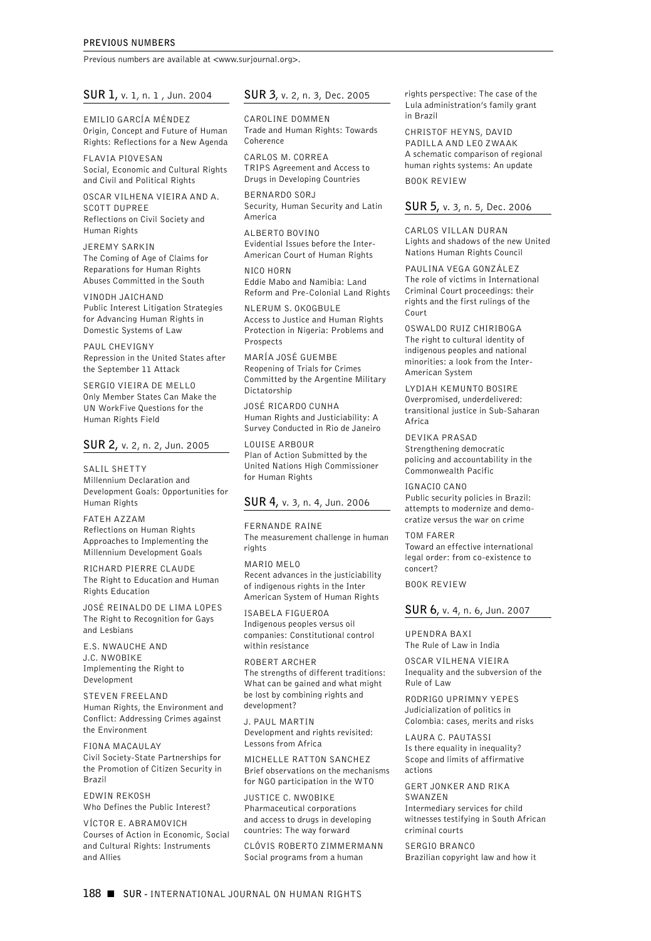Previous numbers are available at <www.surjournal.org>.

### **SUR 1,** v. 1, n. 1 , Jun. 2004

EMILIO GARCÍA MÉNDEZ Origin, Concept and Future of Human Rights: Reflections for a New Agenda

FLAVIA PIOVESAN Social, Economic and Cultural Rights and Civil and Political Rights

OSCAR VILHENA VIEIRA AND A. SCOTT DUPREE Reflections on Civil Society and Human Rights

JEREMY SARKIN The Coming of Age of Claims for Reparations for Human Rights Abuses Committed in the South

VINODH JAICHAND Public Interest Litigation Strategies for Advancing Human Rights in Domestic Systems of Law

PAUL CHEVIGNY Repression in the United States after the September 11 Attack

SERGIO VIEIRA DE MELLO Only Member States Can Make the UN WorkFive Questions for the Human Rights Field

#### **SUR 2,** v. 2, n. 2, Jun. 2005

SALIL SHETTY Millennium Declaration and Development Goals: Opportunities for Human Rights

FATEH AZZAM Reflections on Human Rights Approaches to Implementing the Millennium Development Goals

RICHARD PIERRE CLAUDE The Right to Education and Human Rights Education

JOSÉ REINALDO DE LIMA LOPES The Right to Recognition for Gays and Lesbians

E.S. NWAUCHE AND J.C. NWOBIKE Implementing the Right to Development

STEVEN FREELAND Human Rights, the Environment and Conflict: Addressing Crimes against the Environment

FIONA MACAULAY Civil Society-State Partnerships for the Promotion of Citizen Security in Brazil

EDWIN REKOSH Who Defines the Public Interest?

VÍCTOR E. ABRAMOVICH Courses of Action in Economic, Social and Cultural Rights: Instruments and Allies

#### **SUR 3,** v. 2, n. 3, Dec. 2005

CAROLINE DOMMEN Trade and Human Rights: Towards Coherence

CARLOS M. CORREA TRIPS Agreement and Access to Drugs in Developing Countries

BERNARDO SORJ Security, Human Security and Latin America

ALBERTO BOVINO Evidential Issues before the Inter-American Court of Human Rights

NICO HORN Eddie Mabo and Namibia: Land Reform and Pre-Colonial Land Rights

NLERUM S. OKOGBULE Access to Justice and Human Rights Protection in Nigeria: Problems and Prospects

MARÍA JOSÉ GUEMBE Reopening of Trials for Crimes Committed by the Argentine Military Dictatorship

JOSÉ RICARDO CUNHA Human Rights and Justiciability: A Survey Conducted in Rio de Janeiro

LOUISE ARBOUR Plan of Action Submitted by the United Nations High Commissioner for Human Rights

#### **SUR 4,** v. 3, n. 4, Jun. 2006

FERNANDE RAINE The measurement challenge in human rights

MARIO MELO Recent advances in the justiciability of indigenous rights in the Inter American System of Human Rights

ISABELA FIGUEROA Indigenous peoples versus oil companies: Constitutional control within resistance

ROBERT ARCHER The strengths of different traditions: What can be gained and what might be lost by combining rights and development?

J. PAUL MARTIN Development and rights revisited: Lessons from Africa

MICHELLE RATTON SANCHEZ Brief observations on the mechanisms for NGO participation in the WTO

JUSTICE C. NWOBIKE Pharmaceutical corporations and access to drugs in developing countries: The way forward

CLÓVIS ROBERTO ZIMMERMANN Social programs from a human

rights perspective: The case of the Lula administration's family grant in Brazil

CHRISTOF HEYNS, DAVID PADILLA AND LEO ZWAAK A schematic comparison of regional human rights systems: An update BOOK REVIEW

#### **SUR 5,** v. 3, n. 5, Dec. 2006

CARLOS VILLAN DURAN Lights and shadows of the new United Nations Human Rights Council

PAULINA VEGA GONZÁLEZ The role of victims in International Criminal Court proceedings: their rights and the first rulings of the Court

OSWALDO RUIZ CHIRIBOGA The right to cultural identity of indigenous peoples and national minorities: a look from the Inter-American System

LYDIAH KEMUNTO BOSIRE Overpromised, underdelivered: transitional justice in Sub-Saharan Africa

DEVIKA PRASAD Strengthening democratic policing and accountability in the Commonwealth Pacific

IGNACIO CANO Public security policies in Brazil: attempts to modernize and democratize versus the war on crime

TOM FARER Toward an effective international legal order: from co-existence to concert?

BOOK REVIEW

#### **SUR 6,** v. 4, n. 6, Jun. 2007

UPENDRA BAXI The Rule of Law in India

OSCAR VILHENA VIEIRA Inequality and the subversion of the Rule of Law

RODRIGO UPRIMNY YEPES Judicialization of politics in Colombia: cases, merits and risks

LAURA C. PAUTASSI Is there equality in inequality? Scope and limits of affirmative actions

GERT JONKER AND RIKA SWANZEN Intermediary services for child witnesses testifying in South African

criminal courts SERGIO BRANCO

Brazilian copyright law and how it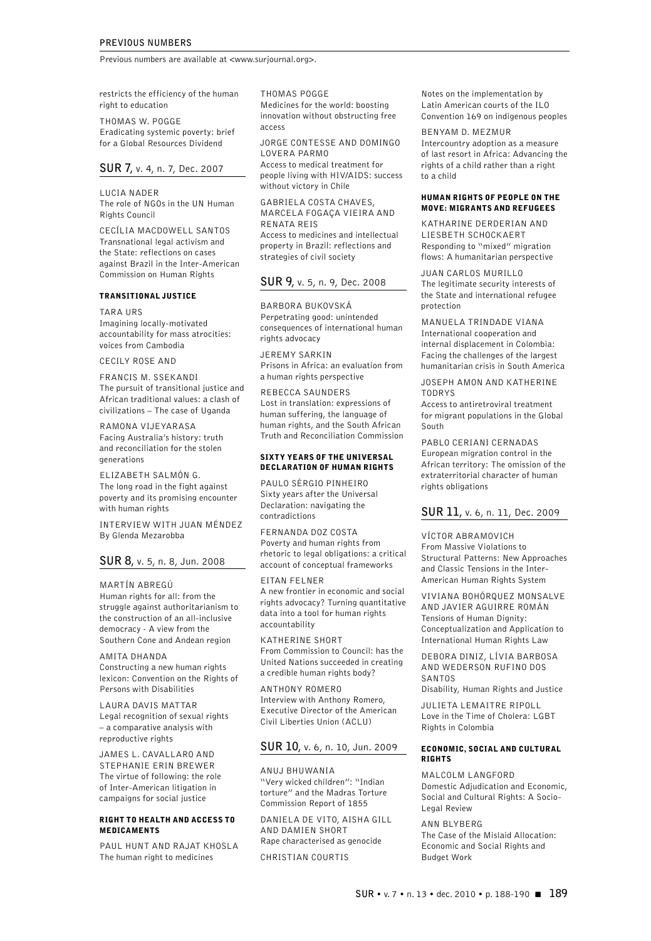# **PREVIOUS NUMBERS**

Previous numbers are available at <www.surjournal.org>.

restricts the efficiency of the human right to education

THOMAS W. POGGE Eradicating systemic poverty: brief for a Global Resources Dividend

#### **SUR 7,** v. 4, n. 7, Dec. 2007

LUCIA NADER The role of NGOs in the UN Human Rights Council

CECÍLIA MACDOWELL SANTOS Transnational legal activism and the State: reflections on cases against Brazil in the Inter-American Commission on Human Rights

#### **TRANSITIONAL JUSTICE**

TARA URS Imagining locally-motivated accountability for mass atrocities: voices from Cambodia

#### CECILY ROSE AND

FRANCIS M. SSEKANDI The pursuit of transitional justice and African traditional values: a clash of civilizations – The case of Uganda

RAMONA VIJEYARASA Facing Australia's history: truth and reconciliation for the stolen generations

ELIZABETH SALMÓN G. The long road in the fight against poverty and its promising encounter with human rights

INTERVIEW WITH JUAN MÉNDEZ By Glenda Mezarobba

#### **SUR 8,** v. 5, n. 8, Jun. 2008

MARTÍN ABREGÚ Human rights for all: from the struggle against authoritarianism to the construction of an all-inclusive democracy - A view from the Southern Cone and Andean region

AMITA DHANDA Constructing a new human rights lexicon: Convention on the Rights of Persons with Disabilities

LAURA DAVIS MATTAR Legal recognition of sexual rights – a comparative analysis with reproductive rights

JAMES L. CAVALLARO AND STEPHANIE ERIN BREWER The virtue of following: the role of Inter-American litigation in campaigns for social justice

#### **RIGHT TO HEALTH AND ACCESS TO MEDICAMENTS**

PAUL HUNT AND RAJAT KHOSLA The human right to medicines

THOMAS POGGE Medicines for the world: boosting innovation without obstructing free access

JORGE CONTESSE AND DOMINGO LOVERA PARMO

Access to medical treatment for people living with HIV/AIDS: success without victory in Chile

GABRIELA COSTA CHAVES, MARCELA FOGAÇA VIEIRA AND RENATA REIS

Access to medicines and intellectual property in Brazil: reflections and strategies of civil society

### **SUR 9,** v. 5, n. 9, Dec. 2008

BARBORA BUKOVSKÁ Perpetrating good: unintended consequences of international human rights advocacy

JEREMY SARKIN Prisons in Africa: an evaluation from a human rights perspective

REBECCA SAUNDERS Lost in translation: expressions of human suffering, the language of human rights, and the South African Truth and Reconciliation Commission

#### **SIXTY YEARS OF THE UNIVERSAL DECLARATION OF HUMAN RIGHTS**

PAULO SÉRGIO PINHEIRO Sixty years after the Universal Declaration: navigating the contradictions

FERNANDA DOZ COSTA Poverty and human rights from rhetoric to legal obligations: a critical account of conceptual frameworks

EITAN FELNER A new frontier in economic and social rights advocacy? Turning quantitative data into a tool for human rights accountability

KATHERINE SHORT From Commission to Council: has the United Nations succeeded in creating a credible human rights body?

ANTHONY ROMERO Interview with Anthony Romero, Executive Director of the American Civil Liberties Union (ACLU)

#### **SUR 10,** v. 6, n. 10, Jun. 2009

ANUJ BHUWANIA "Very wicked children": "Indian torture" and the Madras Torture Commission Report of 1855

DANIELA DE VITO, AISHA GILL AND DAMIEN SHORT Rape characterised as genocide

CHRISTIAN COURTIS

Notes on the implementation by Latin American courts of the ILO Convention 169 on indigenous peoples

BENYAM D. MEZMUR Intercountry adoption as a measure of last resort in Africa: Advancing the rights of a child rather than a right to a child

#### **HUMAN RIGHTS OF PEOPLE ON THE MOVE: MIGRANTS AND REFUGEES**

KATHARINE DERDERIAN AND LIESBETH SCHOCKAERT Responding to "mixed" migration flows: A humanitarian perspective

JUAN CARLOS MURILLO The legitimate security interests of the State and international refugee protection

MANUELA TRINDADE VIANA International cooperation and internal displacement in Colombia: Facing the challenges of the largest humanitarian crisis in South America

JOSEPH AMON AND KATHERINE TODRYS

Access to antiretroviral treatment for migrant populations in the Global South

PABLO CERIANI CERNADAS European migration control in the African territory: The omission of the extraterritorial character of human rights obligations

#### **SUR 11,** v. 6, n. 11, Dec. 2009

VÍCTOR ABRAMOVICH From Massive Violations to Structural Patterns: New Approaches and Classic Tensions in the Inter-American Human Rights System

VIVIANA BOHÓRQUEZ MONSALVE AND JAVIER AGUIRRE ROMÁN Tensions of Human Dignity: Conceptualization and Application to International Human Rights Law

DEBORA DINIZ, LÍVIA BARBOSA AND WEDERSON RUFINO DOS SANTOS Disability, Human Rights and Justice

JULIETA LEMAITRE RIPOLL Love in the Time of Cholera: LGBT Rights in Colombia

#### **ECONOMIC, SOCIAL AND CULTURAL RIGHTS**

MALCOLM LANGFORD Domestic Adjudication and Economic, Social and Cultural Rights: A Socio-Legal Review

ANN BLYBERG The Case of the Mislaid Allocation: Economic and Social Rights and Budget Work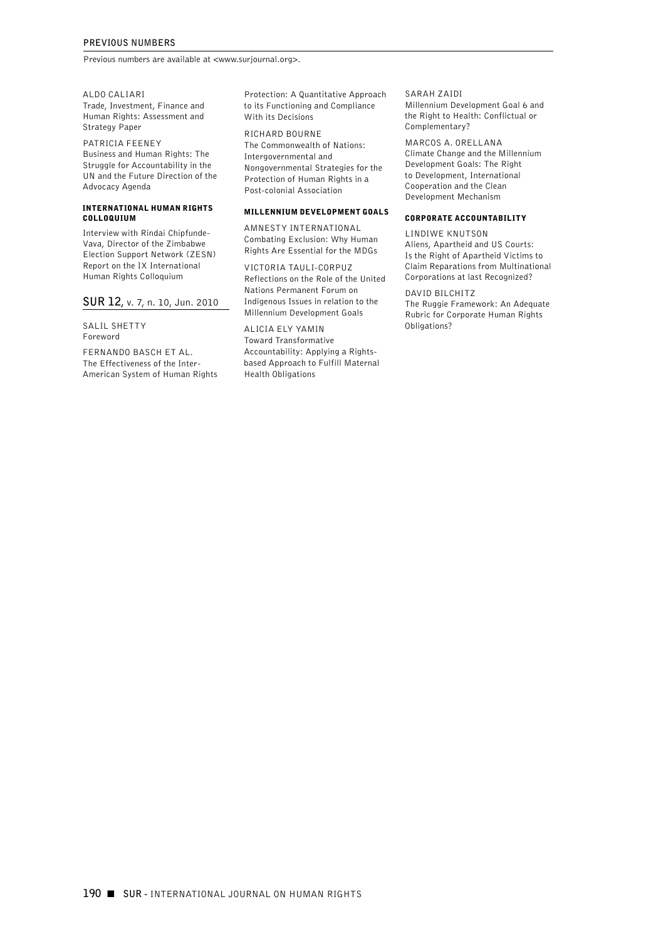# **PREVIOUS NUMBERS**

Previous numbers are available at <www.surjournal.org>.

#### ALDO CALIARI

Trade, Investment, Finance and Human Rights: Assessment and Strategy Paper

PATRICIA FEENEY Business and Human Rights: The Struggle for Accountability in the UN and the Future Direction of the Advocacy Agenda

#### **INTERNATIONAL HUMAN RIGHTS COLLOQUIUM**

Interview with Rindai Chipfunde-Vava, Director of the Zimbabwe Election Support Network (ZESN) Report on the IX International Human Rights Colloquium

#### **SUR 12,** v. 7, n. 10, Jun. 2010

SALIL SHETTY Foreword

FERNANDO BASCH ET AL. The Effectiveness of the Inter-American System of Human Rights

Protection: A Quantitative Approach to its Functioning and Compliance With its Decisions

#### RICHARD BOURNE

The Commonwealth of Nations: Intergovernmental and Nongovernmental Strategies for the Protection of Human Rights in a Post-colonial Association

#### **MILLENNIUM DEVELOPMENT GOALS**

AMNESTY INTERNATIONAL Combating Exclusion: Why Human Rights Are Essential for the MDGs

VICTORIA TAULI-CORPUZ Reflections on the Role of the United Nations Permanent Forum on Indigenous Issues in relation to the Millennium Development Goals

ALICIA ELY YAMIN Toward Transformative Accountability: Applying a Rightsbased Approach to Fulfill Maternal Health Obligations

SARAH ZAIDI

Millennium Development Goal 6 and the Right to Health: Conflictual or Complementary?

MARCOS A. ORELLANA Climate Change and the Millennium Development Goals: The Right to Development, International Cooperation and the Clean Development Mechanism

#### **CORPORATE ACCOUNTABILITY**

#### LINDIWE KNUTSON

Aliens, Apartheid and US Courts: Is the Right of Apartheid Victims to Claim Reparations from Multinational Corporations at last Recognized?

#### DAVID BILCHITZ

The Ruggie Framework: An Adequate Rubric for Corporate Human Rights Obligations?